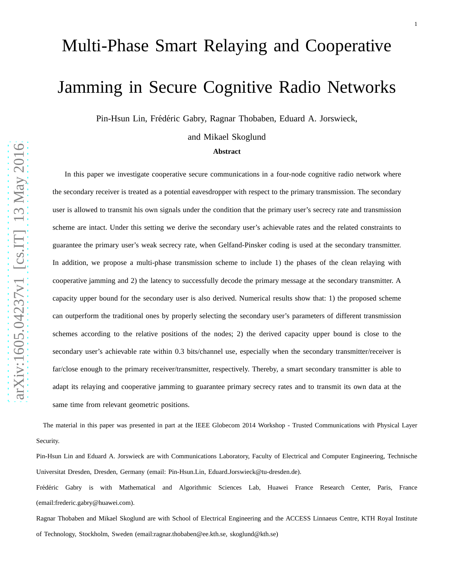# Multi-Phase Smart Relaying and Cooperative Jamming in Secure Cognitive Radio Networks

Pin-Hsun Lin, Frédéric Gabry, Ragnar Thobaben, Eduard A. Jorswieck,

and Mikael Skoglund

## **Abstract**

In this paper we investigate cooperative secure communications in a four-node cognitive radio network where the secondary receiver is treated as a potential eavesdropper with respect to the primary transmission. The secondary user is allowed to transmit his own signals under the condition that the primary user's secrecy rate and transmission scheme are intact. Under this setting we derive the secondary user's achievable rates and the related constraints to guarantee the primary user's weak secrecy rate, when Gelfand-Pinsker coding is used at the secondary transmitter. In addition, we propose a multi-phase transmission scheme to include 1) the phases of the clean relaying with cooperative jamming and 2) the latency to successfully decode the primary message at the secondary transmitter. A capacity upper bound for the secondary user is also derived. Numerical results show that: 1) the proposed scheme can outperform the traditional ones by properly selecting the secondary user's parameters of different transmission schemes according to the relative positions of the nodes; 2) the derived capacity upper bound is close to the secondary user's achievable rate within 0.3 bits/channel use, especially when the secondary transmitter/receiver is far/close enough to the primary receiver/transmitter, respectively. Thereby, a smart secondary transmitter is able to adapt its relaying and cooperative jamming to guarantee primary secrecy rates and to transmit its own data at the same time from relevant geometric positions.

The material in this paper was presented in part at the IEEE Globecom 2014 Workshop - Trusted Communications with Physical Layer Security.

Pin-Hsun Lin and Eduard A. Jorswieck are with Communications Laboratory, Faculty of Electrical and Computer Engineering, Technische Universitat Dresden, Dresden, Germany (email: Pin-Hsun.Lin, Eduard.Jorswieck@tu-dresden.de).

Frédéric Gabry is with Mathematical and Algorithmic Sciences Lab, Huawei France Research Center, Paris, France (email:frederic.gabry@huawei.com).

Ragnar Thobaben and Mikael Skoglund are with School of Electrical Engineering and the ACCESS Linnaeus Centre, KTH Royal Institute of Technology, Stockholm, Sweden (email:ragnar.thobaben@ee.kth.se, skoglund@kth.se)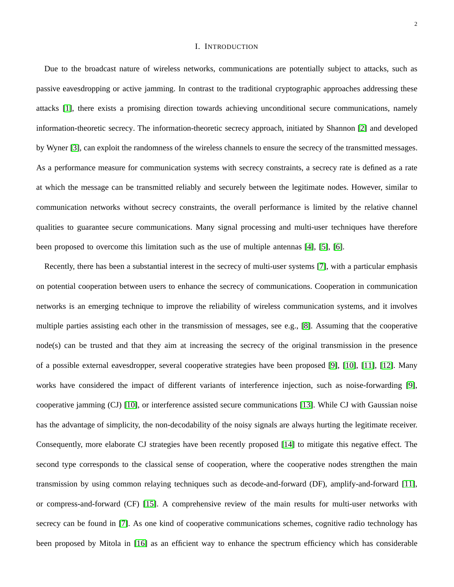#### I. INTRODUCTION

Due to the broadcast nature of wireless networks, communications are potentially subject to attacks, such as passive eavesdropping or active jamming. In contrast to the traditional cryptographic approaches addressing these attacks [\[1\]](#page-37-0), there exists a promising direction towards achieving unconditional secure communications, namely information-theoretic secrecy. The information-theoretic secrecy approach, initiated by Shannon [\[2\]](#page-37-1) and developed by Wyner [\[3\]](#page-37-2), can exploit the randomness of the wireless channels to ensure the secrecy of the transmitted messages. As a performance measure for communication systems with secrecy constraints, a secrecy rate is defined as a rate at which the message can be transmitted reliably and securely between the legitimate nodes. However, similar to communication networks without secrecy constraints, the overall performance is limited by the relative channel qualities to guarantee secure communications. Many signal processing and multi-user techniques have therefore been proposed to overcome this limitation such as the use of multiple antennas [\[4\]](#page-37-3), [\[5\]](#page-37-4), [\[6\]](#page-37-5).

Recently, there has been a substantial interest in the secrecy of multi-user systems [\[7\]](#page-37-6), with a particular emphasis on potential cooperation between users to enhance the secrecy of communications. Cooperation in communication networks is an emerging technique to improve the reliability of wireless communication systems, and it involves multiple parties assisting each other in the transmission of messages, see e.g., [\[8\]](#page-37-7). Assuming that the cooperative node(s) can be trusted and that they aim at increasing the secrecy of the original transmission in the presence of a possible external eavesdropper, several cooperative strategies have been proposed [\[9\]](#page-37-8), [\[10\]](#page-37-9), [\[11\]](#page-38-0), [\[12\]](#page-38-1). Many works have considered the impact of different variants of interference injection, such as noise-forwarding [\[9\]](#page-37-8), cooperative jamming (CJ) [\[10\]](#page-37-9), or interference assisted secure communications [\[13\]](#page-38-2). While CJ with Gaussian noise has the advantage of simplicity, the non-decodability of the noisy signals are always hurting the legitimate receiver. Consequently, more elaborate CJ strategies have been recently proposed [\[14\]](#page-38-3) to mitigate this negative effect. The second type corresponds to the classical sense of cooperation, where the cooperative nodes strengthen the main transmission by using common relaying techniques such as decode-and-forward (DF), amplify-and-forward [\[11\]](#page-38-0), or compress-and-forward (CF) [\[15\]](#page-38-4). A comprehensive review of the main results for multi-user networks with secrecy can be found in [\[7\]](#page-37-6). As one kind of cooperative communications schemes, cognitive radio technology has been proposed by Mitola in [\[16\]](#page-38-5) as an efficient way to enhance the spectrum efficiency which has considerable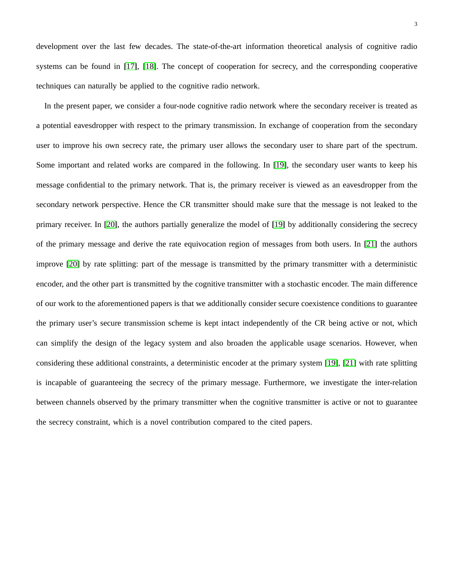development over the last few decades. The state-of-the-art information theoretical analysis of cognitive radio systems can be found in [\[17\]](#page-38-6), [\[18\]](#page-38-7). The concept of cooperation for secrecy, and the corresponding cooperative techniques can naturally be applied to the cognitive radio network.

In the present paper, we consider a four-node cognitive radio network where the secondary receiver is treated as a potential eavesdropper with respect to the primary transmission. In exchange of cooperation from the secondary user to improve his own secrecy rate, the primary user allows the secondary user to share part of the spectrum. Some important and related works are compared in the following. In [\[19\]](#page-38-8), the secondary user wants to keep his message confidential to the primary network. That is, the primary receiver is viewed as an eavesdropper from the secondary network perspective. Hence the CR transmitter should make sure that the message is not leaked to the primary receiver. In [\[20\]](#page-38-9), the authors partially generalize the model of [\[19\]](#page-38-8) by additionally considering the secrecy of the primary message and derive the rate equivocation region of messages from both users. In [\[21\]](#page-38-10) the authors improve [\[20\]](#page-38-9) by rate splitting: part of the message is transmitted by the primary transmitter with a deterministic encoder, and the other part is transmitted by the cognitive transmitter with a stochastic encoder. The main difference of our work to the aforementioned papers is that we additionally consider secure coexistence conditions to guarantee the primary user's secure transmission scheme is kept intact independently of the CR being active or not, which can simplify the design of the legacy system and also broaden the applicable usage scenarios. However, when considering these additional constraints, a deterministic encoder at the primary system [\[19\]](#page-38-8), [\[21\]](#page-38-10) with rate splitting is incapable of guaranteeing the secrecy of the primary message. Furthermore, we investigate the inter-relation between channels observed by the primary transmitter when the cognitive transmitter is active or not to guarantee the secrecy constraint, which is a novel contribution compared to the cited papers.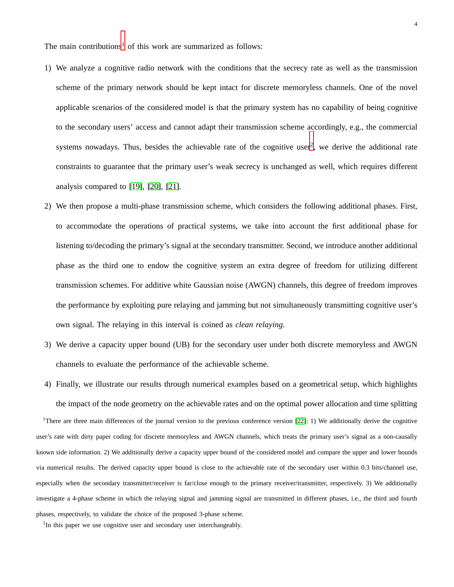The main contributions<sup>[1](#page-3-0)</sup> of this work are summarized as follows:

- 1) We analyze a cognitive radio network with the conditions that the secrecy rate as well as the transmission scheme of the primary network should be kept intact for discrete memoryless channels. One of the novel applicable scenarios of the considered model is that the primary system has no capability of being cognitive to the secondary users' access and cannot adapt their transmission scheme accordingly, e.g., the commercial systems nowadays. Thus, besides the achievable rate of the cognitive user<sup>[2](#page-3-1)</sup>, we derive the additional rate constraints to guarantee that the primary user's weak secrecy is unchanged as well, which requires different analysis compared to [\[19\]](#page-38-8), [\[20\]](#page-38-9), [\[21\]](#page-38-10).
- 2) We then propose a multi-phase transmission scheme, which considers the following additional phases. First, to accommodate the operations of practical systems, we take into account the first additional phase for listening to/decoding the primary's signal at the secondary transmitter. Second, we introduce another additional phase as the third one to endow the cognitive system an extra degree of freedom for utilizing different transmission schemes. For additive white Gaussian noise (AWGN) channels, this degree of freedom improves the performance by exploiting pure relaying and jamming but not simultaneously transmitting cognitive user's own signal. The relaying in this interval is coined as *clean relaying*.
- 3) We derive a capacity upper bound (UB) for the secondary user under both discrete memoryless and AWGN channels to evaluate the performance of the achievable scheme.
- 4) Finally, we illustrate our results through numerical examples based on a geometrical setup, which highlights the impact of the node geometry on the achievable rates and on the optimal power allocation and time splitting <sup>1</sup>There are three main differences of the journal version to the previous conference version  $[22]$ : 1) We additionally derive the cognitive

<span id="page-3-0"></span>user's rate with dirty paper coding for discrete memoryless and AWGN channels, which treats the primary user's signal as a non-causally known side information. 2) We additionally derive a capacity upper bound of the considered model and compare the upper and lower bounds via numerical results. The derived capacity upper bound is close to the achievable rate of the secondary user within 0.3 bits/channel use, especially when the secondary transmitter/receiver is far/close enough to the primary receiver/transmitter, respectively. 3) We additionally investigate a 4-phase scheme in which the relaying signal and jamming signal are transmitted in different phases, i.e., the third and fourth phases, respectively, to validate the choice of the proposed 3-phase scheme.

<span id="page-3-1"></span> $2$ In this paper we use cognitive user and secondary user interchangeably.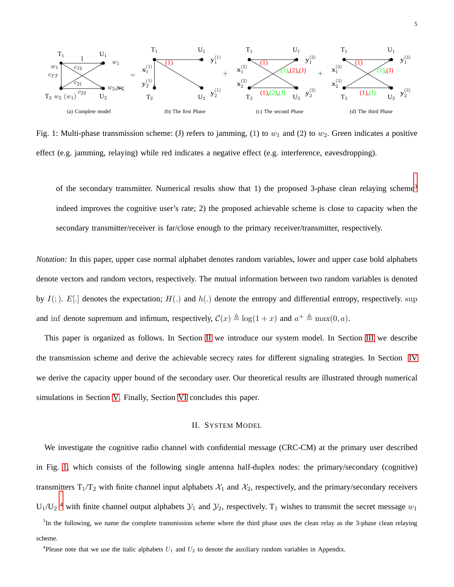<span id="page-4-2"></span>

Fig. 1: Multi-phase transmission scheme: (J) refers to jamming, (1) to  $w_1$  and (2) to  $w_2$ . Green indicates a positive effect (e.g. jamming, relaying) while red indicates a negative effect (e.g. interference, eavesdropping).

of the secondary transmitter. Numerical results show that 1) the proposed [3](#page-4-0)-phase clean relaying scheme<sup>3</sup> indeed improves the cognitive user's rate; 2) the proposed achievable scheme is close to capacity when the secondary transmitter/receiver is far/close enough to the primary receiver/transmitter, respectively.

*Notation:* In this paper, upper case normal alphabet denotes random variables, lower and upper case bold alphabets denote vectors and random vectors, respectively. The mutual information between two random variables is denoted by  $I($ ;  $)$ .  $E[$ . denotes the expectation;  $H($ . and  $h($ . denote the entropy and differential entropy, respectively. sup and inf denote supremum and infimum, respectively,  $C(x) \triangleq \log(1 + x)$  and  $a^+ \triangleq \max(0, a)$ .

This paper is organized as follows. In Section [II](#page-4-1) we introduce our system model. In Section [III](#page-6-0) we describe the transmission scheme and derive the achievable secrecy rates for different signaling strategies. In Section [IV](#page-15-0) we derive the capacity upper bound of the secondary user. Our theoretical results are illustrated through numerical simulations in Section [V.](#page-17-0) Finally, Section [VI](#page-23-0) concludes this paper.

# II. SYSTEM MODEL

<span id="page-4-1"></span>We investigate the cognitive radio channel with confidential message (CRC-CM) at the primary user described in Fig. [1,](#page-4-2) which consists of the following single antenna half-duplex nodes: the primary/secondary (cognitive) transmitters  $T_1/T_2$  with finite channel input alphabets  $\mathcal{X}_1$  and  $\mathcal{X}_2$ , respectively, and the primary/secondary receivers  $U_1/U_2$ <sup>[4](#page-4-3)</sup> with finite channel output alphabets  $\mathcal{Y}_1$  and  $\mathcal{Y}_2$ , respectively. T<sub>1</sub> wishes to transmit the secret message  $w_1$ 

<span id="page-4-0"></span><sup>3</sup>In the following, we name the complete transmission scheme where the third phase uses the clean relay as the 3-phase clean relaying scheme.

<span id="page-4-3"></span><sup>4</sup>Please note that we use the italic alphabets  $U_1$  and  $U_2$  to denote the auxiliary random variables in Appendix.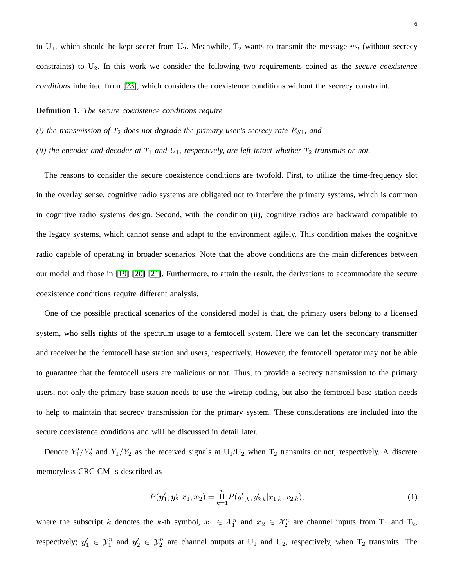to  $U_1$ , which should be kept secret from  $U_2$ . Meanwhile,  $T_2$  wants to transmit the message  $w_2$  (without secrecy constraints) to U2. In this work we consider the following two requirements coined as the *secure coexistence conditions* inherited from [\[23\]](#page-38-12), which considers the coexistence conditions without the secrecy constraint.

#### **Definition 1.** *The secure coexistence conditions require*

*(ii) the encoder and decoder at*  $T_1$  *and*  $U_1$ *, respectively, are left intact whether*  $T_2$  *transmits or not.* 

The reasons to consider the secure coexistence conditions are twofold. First, to utilize the time-frequency slot in the overlay sense, cognitive radio systems are obligated not to interfere the primary systems, which is common in cognitive radio systems design. Second, with the condition (ii), cognitive radios are backward compatible to the legacy systems, which cannot sense and adapt to the environment agilely. This condition makes the cognitive radio capable of operating in broader scenarios. Note that the above conditions are the main differences between our model and those in [\[19\]](#page-38-8) [\[20\]](#page-38-9) [\[21\]](#page-38-10). Furthermore, to attain the result, the derivations to accommodate the secure coexistence conditions require different analysis.

One of the possible practical scenarios of the considered model is that, the primary users belong to a licensed system, who sells rights of the spectrum usage to a femtocell system. Here we can let the secondary transmitter and receiver be the femtocell base station and users, respectively. However, the femtocell operator may not be able to guarantee that the femtocell users are malicious or not. Thus, to provide a secrecy transmission to the primary users, not only the primary base station needs to use the wiretap coding, but also the femtocell base station needs to help to maintain that secrecy transmission for the primary system. These considerations are included into the secure coexistence conditions and will be discussed in detail later.

Denote  $Y_1'/Y_2'$  and  $Y_1/Y_2$  as the received signals at  $U_1/U_2$  when  $T_2$  transmits or not, respectively. A discrete memoryless CRC-CM is described as

<span id="page-5-0"></span>
$$
P(\mathbf{y}'_1, \mathbf{y}'_2 | \mathbf{x}_1, \mathbf{x}_2) = \prod_{k=1}^n P(y'_{1,k}, y'_{2,k} | x_{1,k}, x_{2,k}),
$$
\n(1)

where the subscript k denotes the k-th symbol,  $x_1 \in \mathcal{X}_1^n$  and  $x_2 \in \mathcal{X}_2^n$  are channel inputs from  $T_1$  and  $T_2$ , respectively;  $y'_1 \in \mathcal{Y}_1^n$  and  $y'_2 \in \mathcal{Y}_2^n$  are channel outputs at  $U_1$  and  $U_2$ , respectively, when  $T_2$  transmits. The

*<sup>(</sup>i) the transmission of*  $T_2$  *does not degrade the primary user's secrecy rate*  $R_{S1}$ *, and*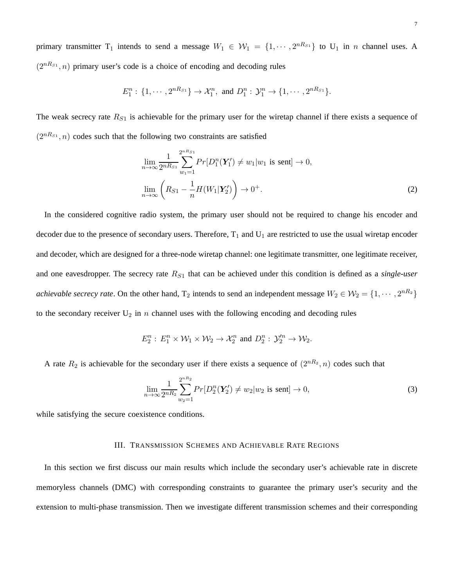primary transmitter  $T_1$  intends to send a message  $W_1 \in W_1 = \{1, \dots, 2^{nR_{S_1}}\}$  to  $U_1$  in *n* channel uses. A  $(2^{nR_{S_1}}, n)$  primary user's code is a choice of encoding and decoding rules

$$
E_1^n: \{1, \cdots, 2^{nR_{S_1}}\} \to \mathcal{X}_1^n, \text{ and } D_1^n: \mathcal{Y}_1^n \to \{1, \cdots, 2^{nR_{S_1}}\}.
$$

The weak secrecy rate  $R_{S1}$  is achievable for the primary user for the wiretap channel if there exists a sequence of  $(2^{nR_{S1}}, n)$  codes such that the following two constraints are satisfied

<span id="page-6-1"></span>
$$
\lim_{n \to \infty} \frac{1}{2^{nR_{S1}}} \sum_{w_1=1}^{2^{nR_{S1}}} Pr[D_1^n(\mathbf{Y}_1') \neq w_1 | w_1 \text{ is sent}] \to 0,
$$
\n
$$
\lim_{n \to \infty} \left( R_{S1} - \frac{1}{n} H(W_1 | \mathbf{Y}_2') \right) \to 0^+.
$$
\n(2)

In the considered cognitive radio system, the primary user should not be required to change his encoder and decoder due to the presence of secondary users. Therefore,  $T_1$  and  $U_1$  are restricted to use the usual wiretap encoder and decoder, which are designed for a three-node wiretap channel: one legitimate transmitter, one legitimate receiver, and one eavesdropper. The secrecy rate  $R_{S1}$  that can be achieved under this condition is defined as a *single-user achievable secrecy rate*. On the other hand,  $T_2$  intends to send an independent message  $W_2 \in W_2 = \{1, \dots, 2^{nR_2}\}\$ to the secondary receiver  $U_2$  in n channel uses with the following encoding and decoding rules

$$
E_2^n: E_1^n \times W_1 \times W_2 \to \mathcal{X}_2^n \text{ and } D_2^n: \mathcal{Y}_2'^n \to W_2.
$$

A rate  $R_2$  is achievable for the secondary user if there exists a sequence of  $(2^{nR_2}, n)$  codes such that

$$
\lim_{n \to \infty} \frac{1}{2^{nR_2}} \sum_{w_2=1}^{2^{nR_2}} Pr[D_2^n(\mathbf{Y}_2') \neq w_2 | w_2 \text{ is sent}] \to 0,
$$
\n(3)

<span id="page-6-0"></span>while satisfying the secure coexistence conditions.

## III. TRANSMISSION SCHEMES AND ACHIEVABLE RATE REGIONS

In this section we first discuss our main results which include the secondary user's achievable rate in discrete memoryless channels (DMC) with corresponding constraints to guarantee the primary user's security and the extension to multi-phase transmission. Then we investigate different transmission schemes and their corresponding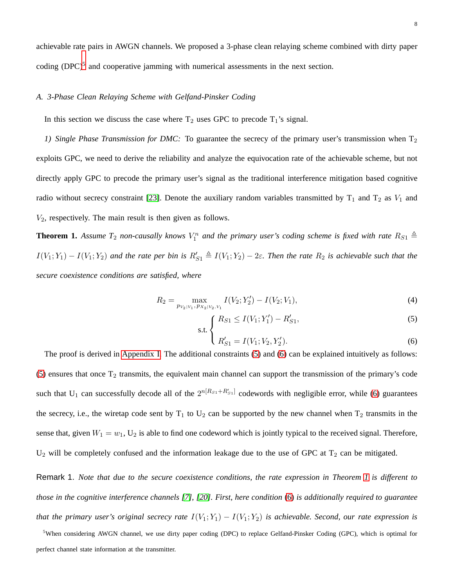achievable rate pairs in AWGN channels. We proposed a 3-phase clean relaying scheme combined with dirty paper coding  $(DPC)^5$  $(DPC)^5$  and cooperative jamming with numerical assessments in the next section.

## *A. 3-Phase Clean Relaying Scheme with Gelfand-Pinsker Coding*

In this section we discuss the case where  $T_2$  uses GPC to precode  $T_1$ 's signal.

*1) Single Phase Transmission for DMC:* To guarantee the secrecy of the primary user's transmission when T<sub>2</sub> exploits GPC, we need to derive the reliability and analyze the equivocation rate of the achievable scheme, but not directly apply GPC to precode the primary user's signal as the traditional interference mitigation based cognitive radio without secrecy constraint [\[23\]](#page-38-12). Denote the auxiliary random variables transmitted by  $T_1$  and  $T_2$  as  $V_1$  and  $V_2$ , respectively. The main result is then given as follows.

**Theorem 1.** Assume  $T_2$  non-causally knows  $V_1^n$  and the primary user's coding scheme is fixed with rate  $R_{S1} \triangleq$  $I(V_1;Y_1) - I(V_1;Y_2)$  and the rate per bin is  $R'_{S1} \triangleq I(V_1;Y_2) - 2\varepsilon$ . Then the rate  $R_2$  is achievable such that the *secure coexistence conditions are satisfied, where*

<span id="page-7-1"></span>
$$
R_2 = \max_{p_{V_2|V_1, P_{X_2|V_2, V_1}}} I(V_2; Y_2') - I(V_2; V_1),\tag{4}
$$

s.t. 
$$
\begin{cases} R_{S1} \le I(V_1; Y_1') - R'_{S1}, \end{cases}
$$
 (5)

$$
\binom{R'}{S_1} = I(V_1; V_2, Y'_2). \tag{6}
$$

The proof is derived in [Appendix I.](#page-24-0) The additional constraints [\(5\)](#page-7-1) and [\(6\)](#page-7-1) can be explained intuitively as follows: [\(5\)](#page-7-1) ensures that once  $T_2$  transmits, the equivalent main channel can support the transmission of the primary's code such that U<sub>1</sub> can successfully decode all of the  $2^{n[R_{S1}+R'_{S1}]}$  codewords with negligible error, while [\(6\)](#page-7-1) guarantees the secrecy, i.e., the wiretap code sent by  $T_1$  to  $U_2$  can be supported by the new channel when  $T_2$  transmits in the sense that, given  $W_1 = w_1$ ,  $U_2$  is able to find one codeword which is jointly typical to the received signal. Therefore,  $U_2$  will be completely confused and the information leakage due to the use of GPC at  $T_2$  can be mitigated.

Remark 1. *Note that due to the secure coexistence conditions, the rate expression in Theorem [1](#page-9-0) is different to those in the cognitive interference channels [\[7\]](#page-37-6), [\[20\]](#page-38-9). First, here condition* [\(6\)](#page-7-1) *is additionally required to guarantee that the primary user's original secrecy rate*  $I(V_1; Y_1) - I(V_1; Y_2)$  *is achievable. Second, our rate expression is* 

<span id="page-7-0"></span><sup>5</sup>When considering AWGN channel, we use dirty paper coding (DPC) to replace Gelfand-Pinsker Coding (GPC), which is optimal for perfect channel state information at the transmitter.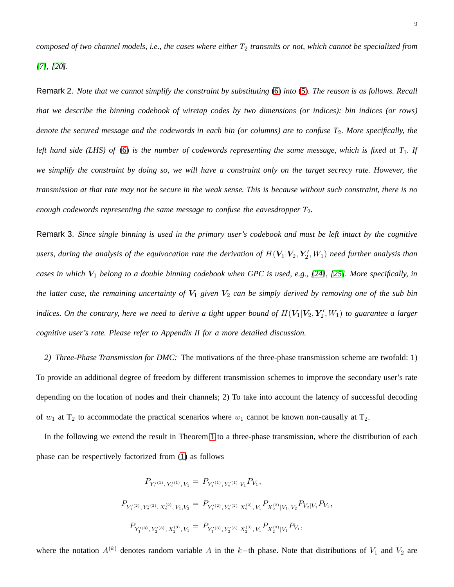*composed of two channel models, i.e., the cases where either T*<sup>2</sup> *transmits or not, which cannot be specialized from [\[7\]](#page-37-6), [\[20\]](#page-38-9).*

Remark 2. *Note that we cannot simplify the constraint by substituting* [\(6\)](#page-7-1) *into* [\(5\)](#page-7-1)*. The reason is as follows. Recall that we describe the binning codebook of wiretap codes by two dimensions (or indices): bin indices (or rows) denote the secured message and the codewords in each bin (or columns) are to confuse T*2*. More specifically, the left hand side (LHS) of* [\(6\)](#page-7-1) *is the number of codewords representing the same message, which is fixed at T*1*. If we simplify the constraint by doing so, we will have a constraint only on the target secrecy rate. However, the transmission at that rate may not be secure in the weak sense. This is because without such constraint, there is no enough codewords representing the same message to confuse the eavesdropper T*2*.*

Remark 3. *Since single binning is used in the primary user's codebook and must be left intact by the cognitive* users, during the analysis of the equivocation rate the derivation of  $H(V_1|V_2,Y'_2,W_1)$  need further analysis than *cases in which* V<sup>1</sup> *belong to a double binning codebook when GPC is used, e.g., [\[24\]](#page-38-13), [\[25\]](#page-38-14). More specifically, in the latter case, the remaining uncertainty of*  $V_1$  *given*  $V_2$  *can be simply derived by removing one of the sub bin* indices. On the contrary, here we need to derive a tight upper bound of  $H(V_1|V_2, Y_2', W_1)$  to guarantee a larger *cognitive user's rate. Please refer to Appendix II for a more detailed discussion.*

*2) Three-Phase Transmission for DMC:* The motivations of the three-phase transmission scheme are twofold: 1) To provide an additional degree of freedom by different transmission schemes to improve the secondary user's rate depending on the location of nodes and their channels; 2) To take into account the latency of successful decoding of  $w_1$  at  $T_2$  to accommodate the practical scenarios where  $w_1$  cannot be known non-causally at  $T_2$ .

In the following we extend the result in Theorem [1](#page-9-0) to a three-phase transmission, where the distribution of each phase can be respectively factorized from [\(1\)](#page-5-0) as follows

$$
\begin{array}{l} P_{Y_1'^{(1)},Y_2'^{(1)},V_1} = \, P_{Y_1'^{(1)},Y_2'^{(1)}|V_1} P_{V_1}, \\ \\ P_{Y_1'^{(2)},Y_2'^{(2)},X_2^{(2)},V_1,V_2} = \, P_{Y_1'^{(2)},Y_2'^{(2)}|X_2^{(2)},V_1} P_{X_2^{(2)}|V_1,V_2} P_{V_2|V_1} P_{V_1}, \\ \\ \, \\ P_{Y_1'^{(3)},Y_2'^{(3)},X_2^{(3)},V_1} = \, P_{Y_1'^{(3)},Y_2'^{(3)}|X_2^{(3)},V_1} P_{X_2^{(3)}|V_1} P_{V_1}, \end{array}
$$

where the notation  $A^{(k)}$  denotes random variable A in the k−th phase. Note that distributions of  $V_1$  and  $V_2$  are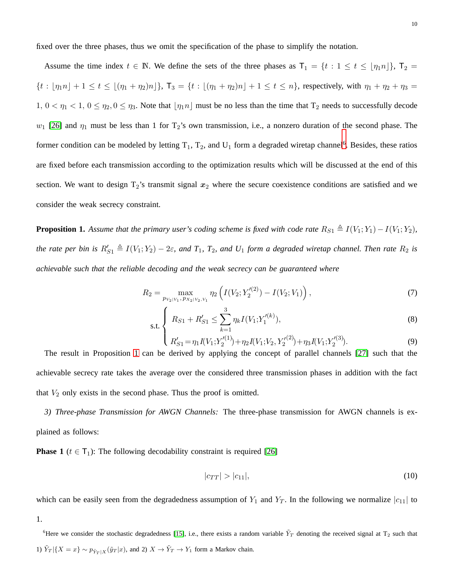fixed over the three phases, thus we omit the specification of the phase to simplify the notation.

Assume the time index  $t \in \mathbb{N}$ . We define the sets of the three phases as  $T_1 = \{t : 1 \le t \le \lfloor \eta_1 n \rfloor\}$ ,  $T_2 =$  ${t : [\eta_1 n] + 1 \le t \le [(\eta_1 + \eta_2)n]},$   $T_3 = {t : [(\eta_1 + \eta_2)n] + 1 \le t \le n}$ , respectively, with  $\eta_1 + \eta_2 + \eta_3 =$  $1, 0 < \eta_1 < 1, 0 \leq \eta_2, 0 \leq \eta_3$ . Note that  $\lfloor \eta_1 n \rfloor$  must be no less than the time that  $T_2$  needs to successfully decode  $w_1$  [\[26\]](#page-38-15) and  $\eta_1$  must be less than 1 for T<sub>2</sub>'s own transmission, i.e., a nonzero duration of the second phase. The former condition can be modeled by letting  $T_1$ ,  $T_2$ , and  $U_1$  form a degraded wiretap channel<sup>[6](#page-9-1)</sup>. Besides, these ratios are fixed before each transmission according to the optimization results which will be discussed at the end of this section. We want to design  $T_2$ 's transmit signal  $x_2$  where the secure coexistence conditions are satisfied and we consider the weak secrecy constraint.

<span id="page-9-0"></span>**Proposition 1.** Assume that the primary user's coding scheme is fixed with code rate  $R_{S1} \triangleq I(V_1; Y_1) - I(V_1; Y_2)$ , *the rate per bin is*  $R'_{S1} \triangleq I(V_1; Y_2) - 2\varepsilon$ , and  $T_1$ ,  $T_2$ , and  $U_1$  *form a degraded wiretap channel. Then rate*  $R_2$  *is achievable such that the reliable decoding and the weak secrecy can be guaranteed where*

<span id="page-9-4"></span>
$$
R_2 = \max_{p_{V_2|V_1, P_{V_2|V_2, V_1}}} \eta_2 \left( I(V_2; Y_2'^{(2)}) - I(V_2; V_1) \right),\tag{7}
$$

s.t. 
$$
\begin{cases} R_{S1} + R'_{S1} \leq \sum_{k=1}^{3} \eta_k I(V_1; Y_1^{\prime(k)}), \end{cases}
$$
 (8)

$$
\left(R'_{S1} = \eta_1 I(V_1; Y_2'^{(1)}) + \eta_2 I(V_1; V_2, Y_2'^{(2)}) + \eta_3 I(V_1; Y_2'^{(3)}).
$$
\n(9)

The result in Proposition [1](#page-9-0) can be derived by applying the concept of parallel channels [\[27\]](#page-38-16) such that the achievable secrecy rate takes the average over the considered three transmission phases in addition with the fact that  $V_2$  only exists in the second phase. Thus the proof is omitted.

<span id="page-9-3"></span>*3) Three-phase Transmission for AWGN Channels:* The three-phase transmission for AWGN channels is explained as follows:

**Phase 1** ( $t \in T_1$ ): The following decodability constraint is required [\[26\]](#page-38-15)

<span id="page-9-2"></span>
$$
|c_{TT}|>|c_{11}|,
$$
\n<sup>(10)</sup>

which can be easily seen from the degradedness assumption of  $Y_1$  and  $Y_T$ . In the following we normalize  $|c_{11}|$  to 1.

<span id="page-9-1"></span><sup>6</sup>Here we consider the stochastic degradedness [\[15\]](#page-38-4), i.e., there exists a random variable  $\tilde{Y}_T$  denoting the received signal at T<sub>2</sub> such that 1)  $\tilde{Y}_T |\{X=x\} \sim p_{\tilde{Y}_T | X}(\tilde{y}_T | x)$ , and 2)  $X \to \tilde{Y}_T \to Y_1$  form a Markov chain.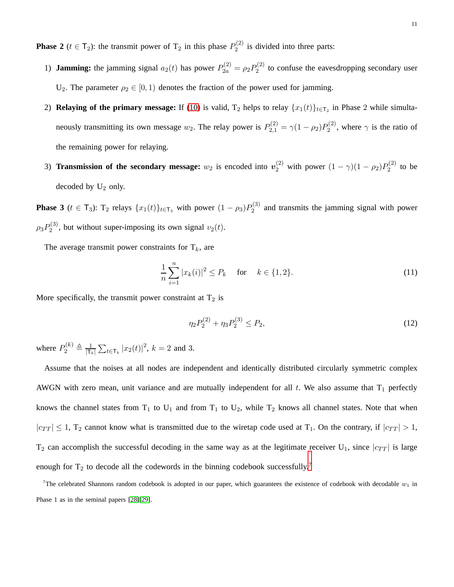**Phase 2** ( $t \in T_2$ ): the transmit power of  $T_2$  in this phase  $P_2^{(2)}$  $2^{(2)}$  is divided into three parts:

- 1) **Jamming:** the jamming signal  $a_2(t)$  has power  $P_{2a}^{(2)} = \rho_2 P_2^{(2)}$  $2^{(2)}$  to confuse the eavesdropping secondary user U<sub>2</sub>. The parameter  $\rho_2 \in [0, 1)$  denotes the fraction of the power used for jamming.
- 2) **Relaying of the primary message:** If [\(10\)](#page-9-2) is valid,  $T_2$  helps to relay  $\{x_1(t)\}_{t\in T_2}$  in Phase 2 while simultaneously transmitting its own message  $w_2$ . The relay power is  $P_{2,1}^{(2)} = \gamma (1 - \rho_2) P_2^{(2)}$  $2^{(2)}$ , where  $\gamma$  is the ratio of the remaining power for relaying.
- 3) **Transmission of the secondary message:**  $w_2$  is encoded into  $v_2^{(2)}$  with power  $(1 \gamma)(1 \rho_2)P_2^{(2)}$  $2^{(2)}$  to be decoded by  $U_2$  only.

**Phase 3** ( $t \in T_3$ ):  $T_2$  relays  $\{x_1(t)\}_{t \in T_3}$  with power  $(1 - \rho_3)P_2^{(3)}$  $2^{(3)}$  and transmits the jamming signal with power  $\rho_3 P_2^{(3)}$  $2^{(3)}$ , but without super-imposing its own signal  $v_2(t)$ .

The average transmit power constraints for  $T_k$ , are

$$
\frac{1}{n}\sum_{i=1}^{n}|x_{k}(i)|^{2} \le P_{k} \quad \text{for} \quad k \in \{1, 2\}.
$$
\n(11)

More specifically, the transmit power constraint at  $T_2$  is

$$
\eta_2 P_2^{(2)} + \eta_3 P_2^{(3)} \le P_2,\tag{12}
$$

where  $P_2^{(k)} \triangleq \frac{1}{\vert \mathsf{T}_1 \vert}$  $\frac{1}{|\mathsf{T}_{k}|} \sum_{t \in \mathsf{T}_{k}} |x_2(t)|^2$ ,  $k = 2$  and 3.

Assume that the noises at all nodes are independent and identically distributed circularly symmetric complex AWGN with zero mean, unit variance and are mutually independent for all  $t$ . We also assume that  $T_1$  perfectly knows the channel states from  $T_1$  to  $U_1$  and from  $T_1$  to  $U_2$ , while  $T_2$  knows all channel states. Note that when  $|c_{TT}| \leq 1$ ,  $T_2$  cannot know what is transmitted due to the wiretap code used at  $T_1$ . On the contrary, if  $|c_{TT}| > 1$ ,  $T_2$  can accomplish the successful decoding in the same way as at the legitimate receiver U<sub>1</sub>, since  $|c_{TT}|$  is large enough for  $T_2$  to decode all the codewords in the binning codebook successfully.<sup>[7](#page-10-0)</sup>

<span id="page-10-0"></span><sup>7</sup>The celebrated Shannons random codebook is adopted in our paper, which guarantees the existence of codebook with decodable  $w_1$  in Phase 1 as in the seminal papers [\[28\]](#page-38-17)[\[29\]](#page-38-18).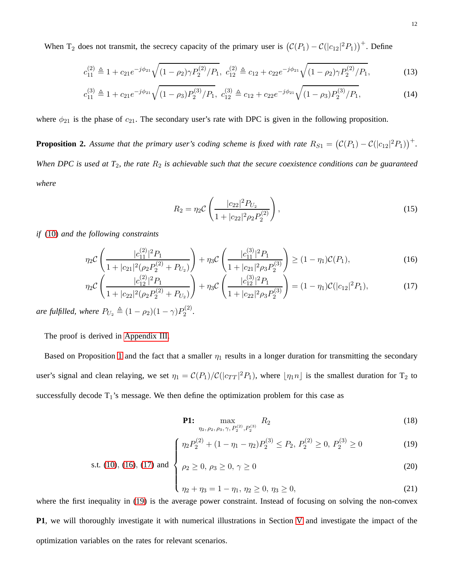When T<sub>2</sub> does not transmit, the secrecy capacity of the primary user is  $(C(P_1) - C(|c_{12}|^2 P_1))^+$ . Define

$$
c_{11}^{(2)} \triangleq 1 + c_{21}e^{-j\phi_{21}}\sqrt{(1-\rho_2)\gamma P_2^{(2)}/P_1}, \ c_{12}^{(2)} \triangleq c_{12} + c_{22}e^{-j\phi_{21}}\sqrt{(1-\rho_2)\gamma P_2^{(2)}/P_1},\tag{13}
$$

$$
c_{11}^{(3)} \triangleq 1 + c_{21}e^{-j\phi_{21}}\sqrt{(1-\rho_3)P_2^{(3)}/P_1}, \ c_{12}^{(3)} \triangleq c_{12} + c_{22}e^{-j\phi_{21}}\sqrt{(1-\rho_3)P_2^{(3)}/P_1}, \tag{14}
$$

where  $\phi_{21}$  is the phase of  $c_{21}$ . The secondary user's rate with DPC is given in the following proposition.

<span id="page-11-3"></span>**Proposition 2.** Assume that the primary user's coding scheme is fixed with rate  $R_{S1} = (C(P_1) - C(|c_{12}|^2 P_1))^+$ . *When DPC is used at T<sub>2</sub>, the rate*  $R_2$  *is achievable such that the secure coexistence conditions can be guaranteed where*

<span id="page-11-1"></span><span id="page-11-0"></span>
$$
R_2 = \eta_2 \mathcal{C} \left( \frac{|c_{22}|^2 P_{U_2}}{1 + |c_{22}|^2 \rho_2 P_2^{(2)}} \right),\tag{15}
$$

*if* [\(10\)](#page-9-2) *and the following constraints*

$$
\eta_2 C \left( \frac{|c_{11}^{(2)}|^2 P_1}{1 + |c_{21}|^2 (\rho_2 P_2^{(2)} + P_{U_2})} \right) + \eta_3 C \left( \frac{|c_{11}^{(3)}|^2 P_1}{1 + |c_{21}|^2 \rho_3 P_2^{(3)}} \right) \ge (1 - \eta_1) C(P_1),\tag{16}
$$

$$
\eta_2 C \left( \frac{|c_{12}^{(2)}|^2 P_1}{1 + |c_{22}|^2 (\rho_2 P_2^{(2)} + P_{U_2})} \right) + \eta_3 C \left( \frac{|c_{12}^{(3)}|^2 P_1}{1 + |c_{22}|^2 \rho_3 P_2^{(3)}} \right) = (1 - \eta_1) C (|c_{12}|^2 P_1),\tag{17}
$$

*are fulfilled, where*  $P_{U_2} \triangleq (1 - \rho_2)(1 - \gamma)P_2^{(2)}$  $2^{(2)}$ .

The proof is derived in [Appendix III.](#page-29-0)

Based on Proposition [1](#page-9-0) and the fact that a smaller  $\eta_1$  results in a longer duration for transmitting the secondary user's signal and clean relaying, we set  $\eta_1 = C(P_1)/C(|c_{TT}|^2 P_1)$ , where  $\lfloor \eta_1 n \rfloor$  is the smallest duration for  $T_2$  to successfully decode  $T_1$ 's message. We then define the optimization problem for this case as

<span id="page-11-2"></span>**P1:** 
$$
\max_{\eta_2, \rho_2, \rho_3, \gamma, P_2^{(2)}, P_2^{(3)}} R_2
$$
 (18)

$$
\left\{\eta_2 P_2^{(2)} + (1 - \eta_1 - \eta_2) P_2^{(3)} \le P_2, P_2^{(2)} \ge 0, P_2^{(3)} \ge 0\right\} \tag{19}
$$

s.t. (10), (16), (17) and 
$$
\begin{cases}\n\eta_2 + \eta_3 = 1 - \eta_1, \quad \eta_2 \geq 0, \quad \eta_3 \geq 0, \\
\eta_2 + \eta_3 = 1 - \eta_1, \quad \eta_2 \geq 0, \quad \eta_3 \geq 0,\n\end{cases}
$$
\n(20)

$$
\eta_2 + \eta_3 = 1 - \eta_1, \, \eta_2 \ge 0, \, \eta_3 \ge 0,\tag{21}
$$

where the first inequality in [\(19\)](#page-11-2) is the average power constraint. Instead of focusing on solving the non-convex **P1**, we will thoroughly investigate it with numerical illustrations in Section [V](#page-17-0) and investigate the impact of the optimization variables on the rates for relevant scenarios.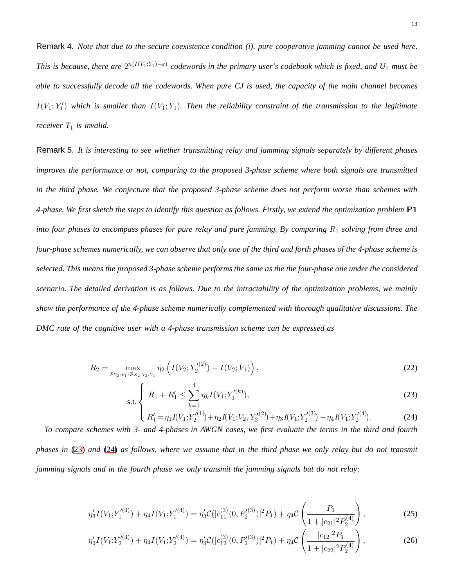Remark 4. *Note that due to the secure coexistence condition (i), pure cooperative jamming cannot be used here. This is because, there are*  $2^{n(I(V_1;Y_1)-\varepsilon)}$  codewords in the primary user's codebook which is fixed, and  $U_1$  must be *able to successfully decode all the codewords. When pure CJ is used, the capacity of the main channel becomes*  $I(V_1; Y_1')$  which is smaller than  $I(V_1; Y_1)$ . Then the reliability constraint of the transmission to the legitimate *receiver T*<sup>1</sup> *is invalid.*

Remark 5. *It is interesting to see whether transmitting relay and jamming signals separately by different phases improves the performance or not, comparing to the proposed 3-phase scheme where both signals are transmitted in the third phase. We conjecture that the proposed 3-phase scheme does not perform worse than schemes with 4-phase. We first sketch the steps to identify this question as follows. Firstly, we extend the optimization problem* P1 *into four phases to encompass phases for pure relay and pure jamming. By comparing*  $R_1$  *solving from three and four-phase schemes numerically, we can observe that only one of the third and forth phases of the 4-phase scheme is selected. This means the proposed 3-phase scheme performs the same as the the four-phase one under the considered scenario. The detailed derivation is as follows. Due to the intractability of the optimization problems, we mainly show the performance of the 4-phase scheme numerically complemented with thorough qualitative discussions. The DMC rate of the cognitive user with a 4-phase transmission scheme can be expressed as*

$$
R_2 = \max_{p_{V_2|V_1, p_{X_2|V_2, V_1}}} \eta_2 \left( I(V_2; Y_2'^{(2)}) - I(V_2; V_1) \right),\tag{22}
$$

<span id="page-12-0"></span>
$$
\text{s.t.} \left\{ R_1 + R_1' \le \sum_{k=1}^4 \eta_k I(V_1; Y_1^{\prime(k)}), \right\} \tag{23}
$$

$$
\left(R'_1 = \eta_1 I(V_1; Y_2'^{(1)}) + \eta_2 I(V_1; V_2, Y_2'^{(2)}) + \eta_3 I(V_1; Y_2'^{(3)}) + \eta_4 I(V_1; Y_2'^{(4)}). \tag{24}
$$

*To compare schemes with 3- and 4-phases in AWGN cases, we first evaluate the terms in the third and fourth phases in* [\(23\)](#page-12-0) *and* [\(24\)](#page-12-0) *as follows, where we assume that in the third phase we only relay but do not transmit jamming signals and in the fourth phase we only transmit the jamming signals but do not relay:*

$$
\eta_3' I(V_1; Y_1'^{(3)}) + \eta_4 I(V_1; Y_1'^{(4)}) = \eta_3' C(|c_{11}^{(3)}(0, P_2'^{(3)})|^2 P_1) + \eta_4 C \left(\frac{P_1}{1+|c_{21}|^2 P_2^{(4)}}\right),\tag{25}
$$

$$
\eta_3' I(V_1; Y_2'^{(3)}) + \eta_4 I(V_1; Y_2'^{(4)}) = \eta_3' C(|c_{12}^{(3)}(0, P_2'^{(3)})|^2 P_1) + \eta_4 C \left(\frac{|c_{12}|^2 P_1}{1 + |c_{22}|^2 P_2^{(4)}}\right),\tag{26}
$$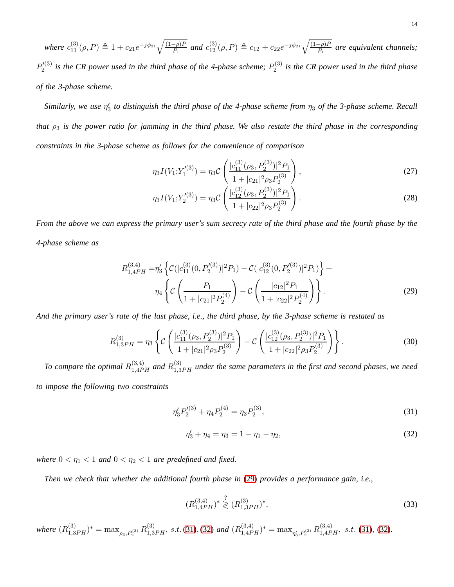$where \ c_{11}^{(3)}(\rho, P) \triangleq 1 + c_{21}e^{-j\phi_{21}}\sqrt{\frac{(1-\rho)P}{P_1}} \ and \ c_{12}^{(3)}(\rho, P) \triangleq c_{12} + c_{22}e^{-j\phi_{21}}\sqrt{\frac{(1-\rho)P}{P_1}} \ are \ equivalent \ channels;$  $P'^{(3)}_{2}$  $\chi_{2}^{\prime\left( 3\right) }$  is the CR power used in the third phase of the 4-phase scheme;  $P_{2}^{\left( 3\right) }$ 2 *is the CR power used in the third phase of the 3-phase scheme.*

*Similarly, we use* η ′ 3 *to distinguish the third phase of the 4-phase scheme from* η<sup>3</sup> *of the 3-phase scheme. Recall that*  $\rho_3$  *is the power ratio for jamming in the third phase. We also restate the third phase in the corresponding constraints in the 3-phase scheme as follows for the convenience of comparison*

$$
\eta_3 I(V_1; Y_1^{(3)}) = \eta_3 \mathcal{C} \left( \frac{|c_{11}^{(3)}(\rho_3, P_2^{(3)})|^2 P_1}{1 + |c_{21}|^2 \rho_3 P_2^{(3)}} \right),\tag{27}
$$

<span id="page-13-0"></span>
$$
\eta_3 I(V_1; Y_2'^{(3)}) = \eta_3 \mathcal{C} \left( \frac{|c_{12}^{(3)}(\rho_3, P_2^{(3)})|^2 P_1}{1 + |c_{22}|^2 \rho_3 P_2^{(3)}} \right). \tag{28}
$$

*From the above we can express the primary user's sum secrecy rate of the third phase and the fourth phase by the 4-phase scheme as*

$$
R_{1,4PH}^{(3,4)} = \eta_3' \left\{ \mathcal{C}(|c_{11}^{(3)}(0, P_2'^{(3)})|^2 P_1) - \mathcal{C}(|c_{12}^{(3)}(0, P_2'^{(3)})|^2 P_1) \right\} + \eta_4 \left\{ \mathcal{C} \left( \frac{P_1}{1 + |c_{21}|^2 P_2^{(4)}} \right) - \mathcal{C} \left( \frac{|c_{12}|^2 P_1}{1 + |c_{22}|^2 P_2^{(4)}} \right) \right\}.
$$
\n(29)

*And the primary user's rate of the last phase, i.e., the third phase, by the 3-phase scheme is restated as*

$$
R_{1,3PH}^{(3)} = \eta_3 \left\{ \mathcal{C} \left( \frac{|c_{11}^{(3)}(\rho_3, P_2^{(3)})|^2 P_1}{1 + |c_{21}|^2 \rho_3 P_2^{(3)}} \right) - \mathcal{C} \left( \frac{|c_{12}^{(3)}(\rho_3, P_2^{(3)})|^2 P_1}{1 + |c_{22}|^2 \rho_3 P_2^{(3)}} \right) \right\}.
$$
(30)

To compare the optimal  $R^{(3,4)}_{1,4PH}$  and  $R^{(3)}_{1,3PH}$  under the same parameters in the first and second phases, we need *to impose the following two constraints*

$$
\eta_3' P_2'^{(3)} + \eta_4 P_2^{(4)} = \eta_3 P_2^{(3)},\tag{31}
$$

<span id="page-13-3"></span><span id="page-13-2"></span><span id="page-13-1"></span>
$$
\eta_3' + \eta_4 = \eta_3 = 1 - \eta_1 - \eta_2,\tag{32}
$$

*where*  $0 < \eta_1 < 1$  *and*  $0 < \eta_2 < 1$  *are predefined and fixed.* 

*Then we check that whether the additional fourth phase in* [\(29\)](#page-13-0) *provides a performance gain, i.e.,*

<span id="page-13-4"></span>
$$
(R_{1,4PH}^{(3,4)})^* \stackrel{?}{\geq} (R_{1,3PH}^{(3)})^*,\tag{33}
$$

 $where (R_{1,3PH}^{(3)})^* = \max_{\rho_3,P_2^{(3)}} R_{1,3PH}^{(3)}, s.t.$  [\(31\)](#page-13-1), [\(32\)](#page-13-2) and  $(R_{1,4PH}^{(3,4)})^* = \max_{\eta_3',P_2^{(3)}} R_{1,4PH}^{(3,4)}, s.t.$  (31), (32).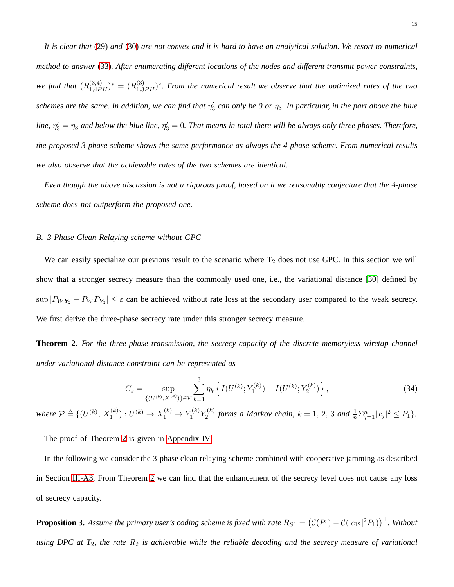*It is clear that* [\(29\)](#page-13-0) *and* [\(30\)](#page-13-3) *are not convex and it is hard to have an analytical solution. We resort to numerical method to answer* [\(33\)](#page-13-4)*. After enumerating different locations of the nodes and different transmit power constraints,* we find that  $(R_{1,4PH}^{(3,4)})^* = (R_{1,3PH}^{(3)})^*$ . From the numerical result we observe that the optimized rates of the two  $s$ chemes are the same. In addition, we can find that  $\eta'_3$  can only be 0 or  $\eta_3$ . In particular, in the part above the blue line,  $\eta'_3=\eta_3$  and below the blue line,  $\eta'_3=0$ . That means in total there will be always only three phases. Therefore, *the proposed 3-phase scheme shows the same performance as always the 4-phase scheme. From numerical results we also observe that the achievable rates of the two schemes are identical.*

*Even though the above discussion is not a rigorous proof, based on it we reasonably conjecture that the 4-phase scheme does not outperform the proposed one.*

#### *B. 3-Phase Clean Relaying scheme without GPC*

We can easily specialize our previous result to the scenario where  $T_2$  does not use GPC. In this section we will show that a stronger secrecy measure than the commonly used one, i.e., the variational distance [\[30\]](#page-39-0) defined by  $|\text{P}_{WY_2} - \text{P}_W \text{P}_{Y_2}| \leq \varepsilon$  can be achieved without rate loss at the secondary user compared to the weak secrecy. We first derive the three-phase secrecy rate under this stronger secrecy measure.

<span id="page-14-0"></span>**Theorem 2.** *For the three-phase transmission, the secrecy capacity of the discrete memoryless wiretap channel under variational distance constraint can be represented as*

$$
C_s = \sup_{\{(U^{(k)}, X_1^{(k)})\} \in \mathcal{P}} \sum_{k=1}^3 \eta_k \left\{ I(U^{(k)}; Y_1^{(k)}) - I(U^{(k)}; Y_2^{(k)}) \right\},\tag{34}
$$

where  $P \triangleq \{ (U^{(k)}, X_1^{(k)}) : U^{(k)} \to X_1^{(k)} \to Y_1^{(k)} Y_2^{(k)} \}$  $f_2^{(k)}$  forms a Markov chain,  $k = 1, 2, 3$  and  $\frac{1}{n} \sum_{j=1}^n |x_j|^2 \leq P_1$ .

The proof of Theorem [2](#page-14-0) is given in [Appendix IV.](#page-30-0)

In the following we consider the 3-phase clean relaying scheme combined with cooperative jamming as described in Section [III-A3.](#page-9-3) From Theorem [2](#page-14-0) we can find that the enhancement of the secrecy level does not cause any loss of secrecy capacity.

<span id="page-14-1"></span>**Proposition 3.** Assume the primary user's coding scheme is fixed with rate  $R_{S1} = (C(P_1) - C(|c_{12}|^2 P_1))^+$ . Without using DPC at T<sub>2</sub>, the rate R<sub>2</sub> is achievable while the reliable decoding and the secrecy measure of variational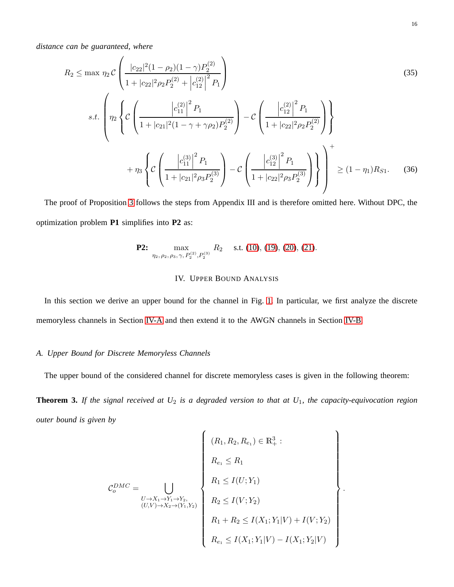*distance can be guaranteed, where*

$$
R_2 \le \max \eta_2 \mathcal{C} \left( \frac{|c_{22}|^2 (1 - \rho_2)(1 - \gamma) P_2^{(2)}}{1 + |c_{22}|^2 \rho_2 P_2^{(2)} + |c_{12}^{(2)}|^2 P_1} \right)
$$
\n
$$
s.t. \left( \eta_2 \left\{ \mathcal{C} \left( \frac{|c_{11}^{(2)}|^2 P_1}{1 + |c_{21}|^2 (1 - \gamma + \gamma \rho_2) P_2^{(2)}} \right) - \mathcal{C} \left( \frac{|c_{12}^{(2)}|^2 P_1}{1 + |c_{22}|^2 \rho_2 P_2^{(2)}} \right) \right\}
$$
\n
$$
+ \eta_3 \left\{ \mathcal{C} \left( \frac{|c_{11}^{(3)}|^2 P_1}{1 + |c_{21}|^2 \rho_3 P_2^{(3)}} \right) - \mathcal{C} \left( \frac{|c_{12}^{(3)}|^2 P_1}{1 + |c_{22}|^2 \rho_3 P_2^{(3)}} \right) \right\} \right\} + (1 - \eta_1) R_{S1}. \tag{36}
$$

The proof of Proposition [3](#page-14-1) follows the steps from Appendix III and is therefore omitted here. Without DPC, the optimization problem **P1** simplifies into **P2** as:

**P2:** 
$$
\max_{\eta_2, \rho_2, \rho_3, \gamma, P_2^{(2)}, P_2^{(3)}} R_2
$$
 s.t. (10), (19), (20), (21).

# IV. UPPER BOUND ANALYSIS

<span id="page-15-1"></span><span id="page-15-0"></span>In this section we derive an upper bound for the channel in Fig. [1.](#page-4-2) In particular, we first analyze the discrete memoryless channels in Section [IV-A](#page-15-1) and then extend it to the AWGN channels in Section [IV-B.](#page-16-0)

# *A. Upper Bound for Discrete Memoryless Channels*

The upper bound of the considered channel for discrete memoryless cases is given in the following theorem:

<span id="page-15-2"></span>**Theorem 3.** *If the signal received at U*<sup>2</sup> *is a degraded version to that at U*1*, the capacity-equivocation region outer bound is given by*

$$
\mathcal{C}_o^{DMC} = \bigcup_{\substack{U \to X_1 \to Y_1 \to Y_2, \\ (U, V) \to X_2 \to (Y_1, Y_2)}} \left\{ \begin{array}{l} (R_1, R_2, R_{e_1}) \in \mathbb{R}^3_+ : \\ R_2 \leq R_1 \\ R_1 \leq I(U; Y_1) \\ R_2 \leq I(V; Y_2) \\ R_1 + R_2 \leq I(X_1; Y_1 | V) + I(V; Y_2) \\ R_{e_1} \leq I(X_1; Y_1 | V) - I(X_1; Y_2 | V) \end{array} \right\}
$$

.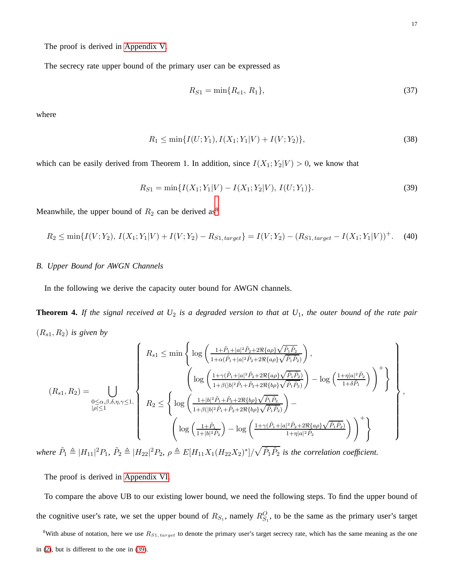The proof is derived in [Appendix V.](#page-32-0)

The secrecy rate upper bound of the primary user can be expressed as

<span id="page-16-4"></span><span id="page-16-2"></span>
$$
R_{S1} = \min\{R_{e1}, R_1\},\tag{37}
$$

where

$$
R_1 \le \min\{I(U;Y_1), I(X_1;Y_1|V) + I(V;Y_2)\},\tag{38}
$$

which can be easily derived from Theorem 1. In addition, since  $I(X_1; Y_2 | V) > 0$ , we know that

$$
R_{S1} = \min\{I(X_1; Y_1|V) - I(X_1; Y_2|V), I(U; Y_1)\}.
$$
\n(39)

Meanwhile, the upper bound of  $R_2$  can be derived as<sup>[8](#page-16-1)</sup>

<span id="page-16-0"></span>
$$
R_2 \le \min\{I(V; Y_2), I(X_1; Y_1 | V) + I(V; Y_2) - R_{S1, \text{target}}\} = I(V; Y_2) - (R_{S1, \text{target}} - I(X_1; Y_1 | V))^+. \tag{40}
$$

## *B. Upper Bound for AWGN Channels*

In the following we derive the capacity outer bound for AWGN channels.

<span id="page-16-3"></span>**Theorem 4.** If the signal received at  $U_2$  is a degraded version to that at  $U_1$ , the outer bound of the rate pair  $(R_{s1}, R_2)$  *is given by* 

$$
(R_{s1}, R_2) = \bigcup_{\substack{0 \le \alpha, \beta, \delta, \eta, \gamma \le 1, \\ |\rho| \le 1}} \left\{ R_2 \le \left\{ \log \left( \frac{1 + \tilde{P}_1 + |a|^2 \tilde{P}_2 + 2 \Re\{a\rho\} \sqrt{\tilde{P}_1 \tilde{P}_2}}{1 + \beta (|b|^2 \tilde{P}_1 + \tilde{P}_2 + 2 \Re\{a\rho\} \sqrt{\tilde{P}_1 \tilde{P}_2}} \right) - \log \left( \frac{1 + \eta |a|^2 \tilde{P}_2}{1 + \delta \tilde{P}_1} \right) \right\}^+ \right\}
$$
  

$$
(R_{s1}, R_2) = \bigcup_{\substack{0 \le \alpha, \beta, \delta, \eta, \gamma \le 1, \\ |\rho| \le 1}} \left\{ R_2 \le \left\{ \log \left( \frac{1 + |b|^2 \tilde{P}_1 + \tilde{P}_2 + 2 \Re\{b\rho\} \sqrt{\tilde{P}_1 \tilde{P}_2}}{1 + \beta (|b|^2 \tilde{P}_1 + \tilde{P}_2 + 2 \Re\{b\rho\} \sqrt{\tilde{P}_1 \tilde{P}_2}} \right) - \right\}
$$

where  $\tilde{P}_1 \triangleq |H_{11}|^2 P_1$ ,  $\tilde{P}_2 \triangleq |H_{22}|^2 P_2$ ,  $\rho \triangleq E[H_{11}X_1(H_{22}X_2)^*]/\sqrt{\tilde{P}_1 \tilde{P}_2}$  is the correlation coefficient.

The proof is derived in [Appendix VI.](#page-34-0)

To compare the above UB to our existing lower bound, we need the following steps. To find the upper bound of the cognitive user's rate, we set the upper bound of  $R_{S_1}$ , namely  $R_{S_1}^O$ , to be the same as the primary user's target

<span id="page-16-1"></span><sup>8</sup>With abuse of notation, here we use  $R_{S1, \text{target}}$  to denote the primary user's target secrecy rate, which has the same meaning as the one in [\(2\)](#page-6-1), but is different to the one in [\(39\)](#page-16-2).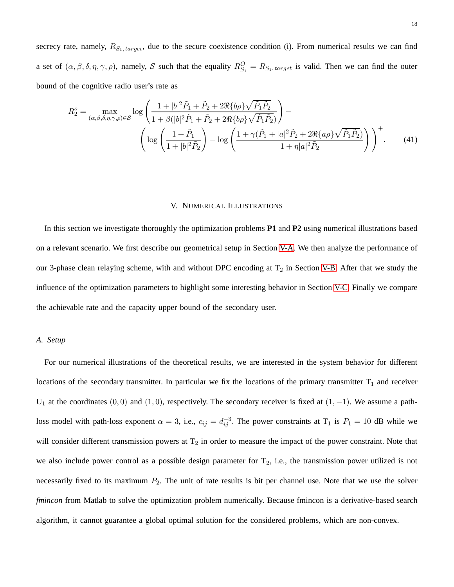secrecy rate, namely,  $R_{S_1, target}$ , due to the secure coexistence condition (i). From numerical results we can find a set of  $(\alpha, \beta, \delta, \eta, \gamma, \rho)$ , namely, S such that the equality  $R_{S_1}^O = R_{S_1, target}$  is valid. Then we can find the outer bound of the cognitive radio user's rate as

$$
R_2^o = \max_{(\alpha,\beta,\delta,\eta,\gamma,\rho)\in\mathcal{S}} \log \left( \frac{1+|b|^2 \tilde{P}_1 + \tilde{P}_2 + 2\Re\{b\rho\} \sqrt{\tilde{P}_1 \tilde{P}_2}}{1+\beta(|b|^2 \tilde{P}_1 + \tilde{P}_2 + 2\Re\{b\rho\} \sqrt{\tilde{P}_1 \tilde{P}_2}} \right) - \left( \log \left( \frac{1+\tilde{P}_1}{1+|b|^2 \tilde{P}_2} \right) - \log \left( \frac{1+\gamma(\tilde{P}_1+|a|^2 \tilde{P}_2 + 2\Re\{a\rho\} \sqrt{\tilde{P}_1 \tilde{P}_2})}{1+\eta |a|^2 \tilde{P}_2} \right) \right)^{+}.
$$
 (41)

#### V. NUMERICAL ILLUSTRATIONS

<span id="page-17-0"></span>In this section we investigate thoroughly the optimization problems **P1** and **P2** using numerical illustrations based on a relevant scenario. We first describe our geometrical setup in Section [V-A.](#page-17-1) We then analyze the performance of our 3-phase clean relaying scheme, with and without DPC encoding at  $T_2$  in Section [V-B.](#page-18-0) After that we study the influence of the optimization parameters to highlight some interesting behavior in Section [V-C.](#page-20-0) Finally we compare the achievable rate and the capacity upper bound of the secondary user.

#### <span id="page-17-1"></span>*A. Setup*

For our numerical illustrations of the theoretical results, we are interested in the system behavior for different locations of the secondary transmitter. In particular we fix the locations of the primary transmitter  $T_1$  and receiver U<sub>1</sub> at the coordinates  $(0, 0)$  and  $(1, 0)$ , respectively. The secondary receiver is fixed at  $(1, -1)$ . We assume a pathloss model with path-loss exponent  $\alpha = 3$ , i.e.,  $c_{ij} = d_{ij}^{-3}$ . The power constraints at  $T_1$  is  $P_1 = 10$  dB while we will consider different transmission powers at  $T_2$  in order to measure the impact of the power constraint. Note that we also include power control as a possible design parameter for  $T_2$ , i.e., the transmission power utilized is not necessarily fixed to its maximum  $P_2$ . The unit of rate results is bit per channel use. Note that we use the solver *fmincon* from Matlab to solve the optimization problem numerically. Because fmincon is a derivative-based search algorithm, it cannot guarantee a global optimal solution for the considered problems, which are non-convex.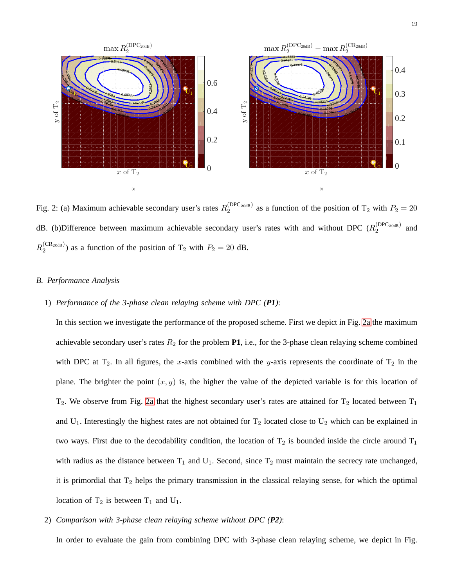<span id="page-18-0"></span>

<span id="page-18-2"></span><span id="page-18-1"></span>Fig. 2: (a) Maximum achievable secondary user's rates  $R_2^{(DPC_{20dB})}$  $2^{(DFC_{20dB})}$  as a function of the position of T<sub>2</sub> with  $P_2 = 20$ dB. (b)Difference between maximum achievable secondary user's rates with and without DPC ( $R_2^{\text{(DPC_{20dB})}}$  $x_2^{\text{(DFC_20dB)}}$  and  $R_2^{\rm (CR_{20dB})}$  $2^{(CR_{20dB})}$  as a function of the position of T<sub>2</sub> with  $P_2 = 20$  dB.

# *B. Performance Analysis*

## 1) *Performance of the 3-phase clean relaying scheme with DPC (P1)*:

In this section we investigate the performance of the proposed scheme. First we depict in Fig. [2a](#page-18-1) the maximum achievable secondary user's rates  $R_2$  for the problem **P1**, i.e., for the 3-phase clean relaying scheme combined with DPC at  $T_2$ . In all figures, the x-axis combined with the y-axis represents the coordinate of  $T_2$  in the plane. The brighter the point  $(x, y)$  is, the higher the value of the depicted variable is for this location of  $T_2$ . We observe from Fig. [2a](#page-18-1) that the highest secondary user's rates are attained for  $T_2$  located between  $T_1$ and  $U_1$ . Interestingly the highest rates are not obtained for  $T_2$  located close to  $U_2$  which can be explained in two ways. First due to the decodability condition, the location of  $T_2$  is bounded inside the circle around  $T_1$ with radius as the distance between  $T_1$  and  $U_1$ . Second, since  $T_2$  must maintain the secrecy rate unchanged, it is primordial that  $T_2$  helps the primary transmission in the classical relaying sense, for which the optimal location of  $T_2$  is between  $T_1$  and  $U_1$ .

2) *Comparison with 3-phase clean relaying scheme without DPC (P2)*:

In order to evaluate the gain from combining DPC with 3-phase clean relaying scheme, we depict in Fig.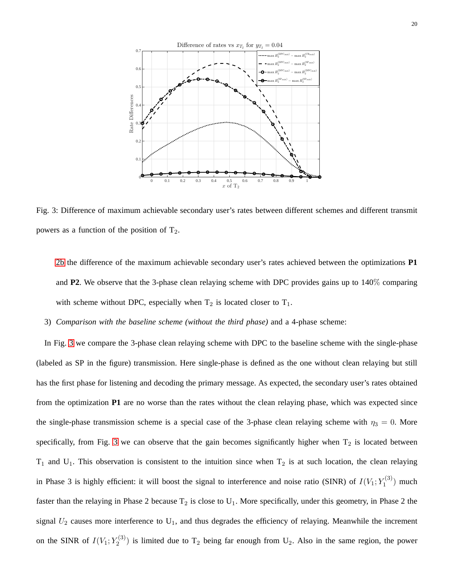<span id="page-19-0"></span>

Fig. 3: Difference of maximum achievable secondary user's rates between different schemes and different transmit powers as a function of the position of  $T_2$ .

[2b](#page-18-2) the difference of the maximum achievable secondary user's rates achieved between the optimizations **P1** and **P2**. We observe that the 3-phase clean relaying scheme with DPC provides gains up to 140% comparing with scheme without DPC, especially when  $T_2$  is located closer to  $T_1$ .

3) *Comparison with the baseline scheme (without the third phase)* and a 4-phase scheme:

In Fig. [3](#page-19-0) we compare the 3-phase clean relaying scheme with DPC to the baseline scheme with the single-phase (labeled as SP in the figure) transmission. Here single-phase is defined as the one without clean relaying but still has the first phase for listening and decoding the primary message. As expected, the secondary user's rates obtained from the optimization **P1** are no worse than the rates without the clean relaying phase, which was expected since the single-phase transmission scheme is a special case of the 3-phase clean relaying scheme with  $\eta_3 = 0$ . More specifically, from Fig. [3](#page-19-0) we can observe that the gain becomes significantly higher when  $T_2$  is located between  $T_1$  and  $U_1$ . This observation is consistent to the intuition since when  $T_2$  is at such location, the clean relaying in Phase 3 is highly efficient: it will boost the signal to interference and noise ratio (SINR) of  $I(V_1; Y_1^{(3)}$  $\binom{1}{1}$  much faster than the relaying in Phase 2 because  $T_2$  is close to  $U_1$ . More specifically, under this geometry, in Phase 2 the signal  $U_2$  causes more interference to  $U_1$ , and thus degrades the efficiency of relaying. Meanwhile the increment on the SINR of  $I(V_1; Y_2^{(3)})$  $2^{(3)}$ ) is limited due to T<sub>2</sub> being far enough from U<sub>2</sub>. Also in the same region, the power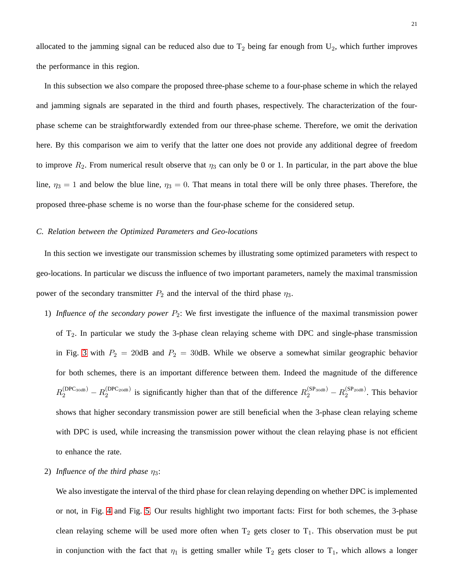allocated to the jamming signal can be reduced also due to  $T_2$  being far enough from  $U_2$ , which further improves the performance in this region.

In this subsection we also compare the proposed three-phase scheme to a four-phase scheme in which the relayed and jamming signals are separated in the third and fourth phases, respectively. The characterization of the fourphase scheme can be straightforwardly extended from our three-phase scheme. Therefore, we omit the derivation here. By this comparison we aim to verify that the latter one does not provide any additional degree of freedom to improve  $R_2$ . From numerical result observe that  $\eta_3$  can only be 0 or 1. In particular, in the part above the blue line,  $\eta_3 = 1$  and below the blue line,  $\eta_3 = 0$ . That means in total there will be only three phases. Therefore, the proposed three-phase scheme is no worse than the four-phase scheme for the considered setup.

#### <span id="page-20-0"></span>*C. Relation between the Optimized Parameters and Geo-locations*

In this section we investigate our transmission schemes by illustrating some optimized parameters with respect to geo-locations. In particular we discuss the influence of two important parameters, namely the maximal transmission power of the secondary transmitter  $P_2$  and the interval of the third phase  $\eta_3$ .

1) *Influence of the secondary power*  $P_2$ : We first investigate the influence of the maximal transmission power of  $T_2$ . In particular we study the 3-phase clean relaying scheme with DPC and single-phase transmission in Fig. [3](#page-19-0) with  $P_2 = 20$ dB and  $P_2 = 30$ dB. While we observe a somewhat similar geographic behavior for both schemes, there is an important difference between them. Indeed the magnitude of the difference  $R_2^{\text{(DPC}_{30\text{dB}})} - R_2^{\text{(DPC}_{20\text{dB}})}$  $\frac{(DPC_{20dB})}{2}$  is significantly higher than that of the difference  $R_2^{(SP_{30dB})} - R_2^{(SP_{20dB})}$  $2^{(SP_20dB)}$ . This behavior shows that higher secondary transmission power are still beneficial when the 3-phase clean relaying scheme with DPC is used, while increasing the transmission power without the clean relaying phase is not efficient to enhance the rate.

# 2) *Influence of the third phase*  $\eta_3$ :

We also investigate the interval of the third phase for clean relaying depending on whether DPC is implemented or not, in Fig. [4](#page-21-0) and Fig. [5.](#page-21-1) Our results highlight two important facts: First for both schemes, the 3-phase clean relaying scheme will be used more often when  $T_2$  gets closer to  $T_1$ . This observation must be put in conjunction with the fact that  $\eta_1$  is getting smaller while  $T_2$  gets closer to  $T_1$ , which allows a longer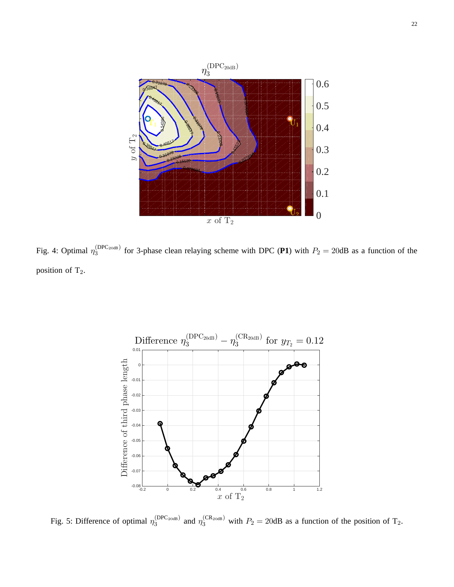<span id="page-21-0"></span>

<span id="page-21-1"></span>Fig. 4: Optimal  $\eta_3^{\text{(DPC}_{20dB})}$  $\frac{DPC_{20dB}}{3}$  for 3-phase clean relaying scheme with DPC (P1) with  $P_2 = 20dB$  as a function of the position of T<sub>2</sub>.



Fig. 5: Difference of optimal  $\eta_3^{\text{(DPC_{20dB})}}$  $\binom{[DPC_{20dB})}{3}$  and  $\eta_3^{\text{(CR}_{20dB})}$  with  $P_2 = 20$ dB as a function of the position of T<sub>2</sub>.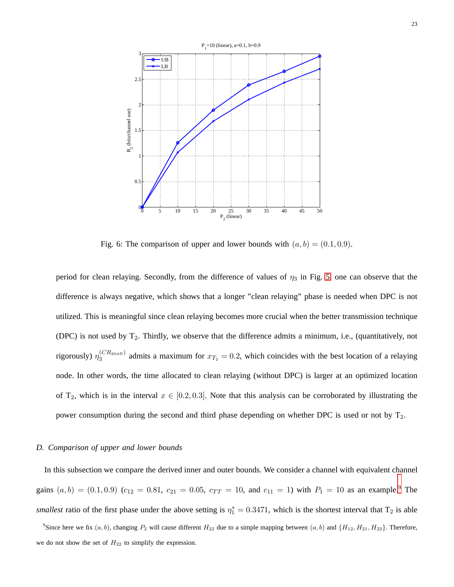

Fig. 6: The comparison of upper and lower bounds with  $(a, b) = (0.1, 0.9)$ .

period for clean relaying. Secondly, from the difference of values of  $\eta_3$  in Fig. [5,](#page-21-1) one can observe that the difference is always negative, which shows that a longer "clean relaying" phase is needed when DPC is not utilized. This is meaningful since clean relaying becomes more crucial when the better transmission technique (DPC) is not used by  $T_2$ . Thirdly, we observe that the difference admits a minimum, i.e., (quantitatively, not rigorously)  $\eta_3^{(CR_{20dB})}$  $3^{(C,R_{20dB})}$  admits a maximum for  $x_{T_2} = 0.2$ , which coincides with the best location of a relaying node. In other words, the time allocated to clean relaying (without DPC) is larger at an optimized location of T<sub>2</sub>, which is in the interval  $x \in [0.2, 0.3]$ . Note that this analysis can be corroborated by illustrating the power consumption during the second and third phase depending on whether DPC is used or not by  $T_2$ .

#### *D. Comparison of upper and lower bounds*

In this subsection we compare the derived inner and outer bounds. We consider a channel with equivalent channel gains  $(a, b) = (0.1, 0.9)$  $(a, b) = (0.1, 0.9)$  $(a, b) = (0.1, 0.9)$   $(c_{12} = 0.81, c_{21} = 0.05, c_{TT} = 10,$  and  $c_{11} = 1$ ) with  $P_1 = 10$  as an example.<sup>9</sup> The *smallest* ratio of the first phase under the above setting is  $\eta_1^* = 0.3471$ , which is the shortest interval that T<sub>2</sub> is able

<span id="page-22-0"></span><sup>9</sup>Since here we fix  $(a, b)$ , changing  $P_2$  will cause different  $H_{22}$  due to a simple mapping between  $(a, b)$  and  $\{H_{12}, H_{21}, H_{22}\}$ . Therefore, we do not show the set of  $H_{22}$  to simplify the expression.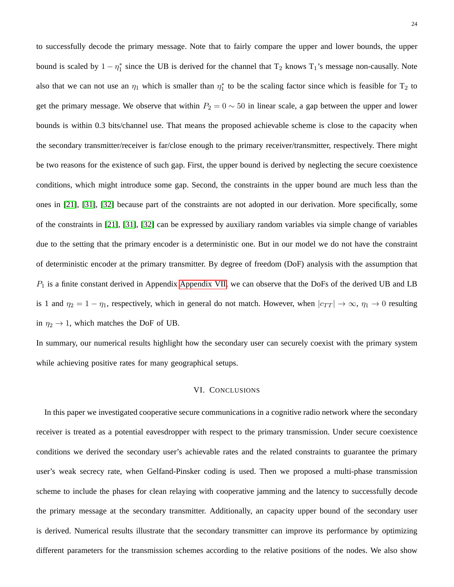to successfully decode the primary message. Note that to fairly compare the upper and lower bounds, the upper bound is scaled by  $1 - \eta_1^*$  since the UB is derived for the channel that  $T_2$  knows  $T_1$ 's message non-causally. Note also that we can not use an  $\eta_1$  which is smaller than  $\eta_1^*$  to be the scaling factor since which is feasible for  $T_2$  to get the primary message. We observe that within  $P_2 = 0 \sim 50$  in linear scale, a gap between the upper and lower bounds is within 0.3 bits/channel use. That means the proposed achievable scheme is close to the capacity when the secondary transmitter/receiver is far/close enough to the primary receiver/transmitter, respectively. There might be two reasons for the existence of such gap. First, the upper bound is derived by neglecting the secure coexistence conditions, which might introduce some gap. Second, the constraints in the upper bound are much less than the ones in [\[21\]](#page-38-10), [\[31\]](#page-39-1), [\[32\]](#page-39-2) because part of the constraints are not adopted in our derivation. More specifically, some of the constraints in [\[21\]](#page-38-10), [\[31\]](#page-39-1), [\[32\]](#page-39-2) can be expressed by auxiliary random variables via simple change of variables due to the setting that the primary encoder is a deterministic one. But in our model we do not have the constraint of deterministic encoder at the primary transmitter. By degree of freedom (DoF) analysis with the assumption that  $P_1$  is a finite constant derived in Appendix [Appendix VII,](#page-36-0) we can observe that the DoFs of the derived UB and LB is 1 and  $\eta_2 = 1 - \eta_1$ , respectively, which in general do not match. However, when  $|c_{TT}| \to \infty$ ,  $\eta_1 \to 0$  resulting in  $\eta_2 \to 1$ , which matches the DoF of UB.

<span id="page-23-0"></span>In summary, our numerical results highlight how the secondary user can securely coexist with the primary system while achieving positive rates for many geographical setups.

#### VI. CONCLUSIONS

In this paper we investigated cooperative secure communications in a cognitive radio network where the secondary receiver is treated as a potential eavesdropper with respect to the primary transmission. Under secure coexistence conditions we derived the secondary user's achievable rates and the related constraints to guarantee the primary user's weak secrecy rate, when Gelfand-Pinsker coding is used. Then we proposed a multi-phase transmission scheme to include the phases for clean relaying with cooperative jamming and the latency to successfully decode the primary message at the secondary transmitter. Additionally, an capacity upper bound of the secondary user is derived. Numerical results illustrate that the secondary transmitter can improve its performance by optimizing different parameters for the transmission schemes according to the relative positions of the nodes. We also show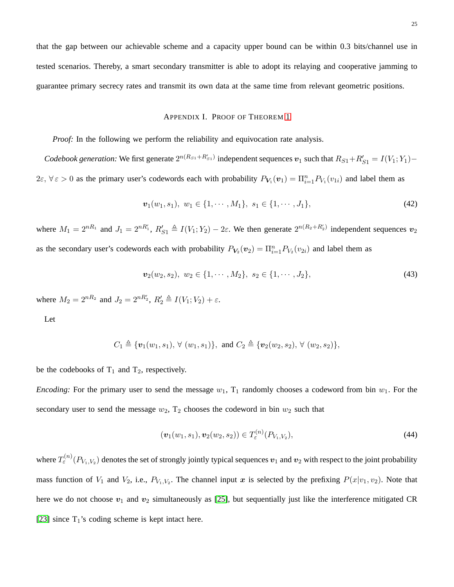<span id="page-24-0"></span>that the gap between our achievable scheme and a capacity upper bound can be within 0.3 bits/channel use in tested scenarios. Thereby, a smart secondary transmitter is able to adopt its relaying and cooperative jamming to guarantee primary secrecy rates and transmit its own data at the same time from relevant geometric positions.

#### <span id="page-24-1"></span>APPENDIX I. PROOF OF THEOREM [1](#page-9-0)

*Proof:* In the following we perform the reliability and equivocation rate analysis.

*Codebook generation:* We first generate  $2^{n(R_{S1}+R'_{S1})}$  independent sequences  $v_1$  such that  $R_{S1}+R'_{S1}=I(V_1;Y_1)-I(V_2;Y_2)$  $2\varepsilon, \forall \varepsilon > 0$  as the primary user's codewords each with probability  $P_{V_1}(v_1) = \prod_{i=1}^n P_{V_1}(v_{1i})$  and label them as

$$
\boldsymbol{v}_1(w_1, s_1), \ w_1 \in \{1, \cdots, M_1\}, \ s_1 \in \{1, \cdots, J_1\},\tag{42}
$$

where  $M_1 = 2^{nR_1}$  and  $J_1 = 2^{nR'_1}$ ,  $R'_{S1} \triangleq I(V_1; Y_2) - 2\varepsilon$ . We then generate  $2^{n(R_2 + R'_2)}$  independent sequences  $v_2$ as the secondary user's codewords each with probability  $P_{V_2}(v_2) = \prod_{i=1}^n P_{V_2}(v_{2i})$  and label them as

$$
\boldsymbol{v}_2(w_2, s_2), \ w_2 \in \{1, \cdots, M_2\}, \ s_2 \in \{1, \cdots, J_2\},\tag{43}
$$

where  $M_2 = 2^{nR_2}$  and  $J_2 = 2^{nR'_2}$ ,  $R'_2 \triangleq I(V_1; V_2) + \varepsilon$ .

Let

$$
C_1 \triangleq \{ \boldsymbol{v}_1(w_1,s_1), \ \forall \ (w_1,s_1) \}, \ \text{and} \ C_2 \triangleq \{ \boldsymbol{v}_2(w_2,s_2), \ \forall \ (w_2,s_2) \},
$$

be the codebooks of  $T_1$  and  $T_2$ , respectively.

*Encoding:* For the primary user to send the message  $w_1$ ,  $T_1$  randomly chooses a codeword from bin  $w_1$ . For the secondary user to send the message  $w_2$ ,  $T_2$  chooses the codeword in bin  $w_2$  such that

$$
(\boldsymbol{v}_1(w_1,s_1),\boldsymbol{v}_2(w_2,s_2)) \in T_{\varepsilon}^{(n)}(P_{V_1,V_2}),
$$
\n(44)

where  $T^{(n)}_\varepsilon(P_{V_1,V_2})$  denotes the set of strongly jointly typical sequences  $\bm v_1$  and  $\bm v_2$  with respect to the joint probability mass function of  $V_1$  and  $V_2$ , i.e.,  $P_{V_1,V_2}$ . The channel input x is selected by the prefixing  $P(x|v_1, v_2)$ . Note that here we do not choose  $v_1$  and  $v_2$  simultaneously as [\[25\]](#page-38-14), but sequentially just like the interference mitigated CR [\[23\]](#page-38-12) since  $T_1$ 's coding scheme is kept intact here.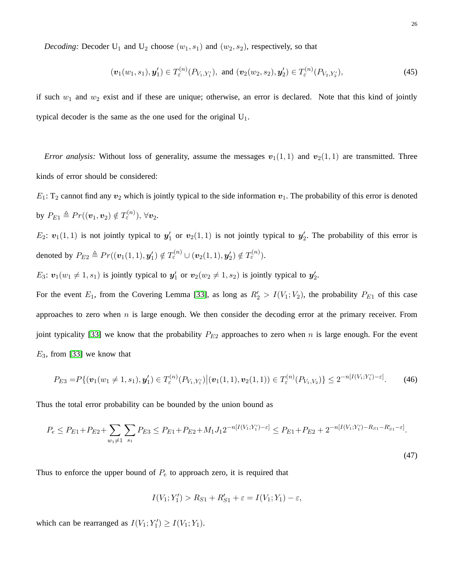*Decoding:* Decoder  $U_1$  and  $U_2$  choose  $(w_1, s_1)$  and  $(w_2, s_2)$ , respectively, so that

$$
(\boldsymbol{v}_1(w_1,s_1),\boldsymbol{y}'_1) \in T_{\varepsilon}^{(n)}(P_{V_1,Y_1'}), \text{ and } (\boldsymbol{v}_2(w_2,s_2),\boldsymbol{y}'_2) \in T_{\varepsilon}^{(n)}(P_{V_2,Y_2'}),
$$
\n(45)

if such  $w_1$  and  $w_2$  exist and if these are unique; otherwise, an error is declared. Note that this kind of jointly typical decoder is the same as the one used for the original  $U_1$ .

*Error analysis:* Without loss of generality, assume the messages  $v_1(1,1)$  and  $v_2(1,1)$  are transmitted. Three kinds of error should be considered:

 $E_1$ : T<sub>2</sub> cannot find any  $v_2$  which is jointly typical to the side information  $v_1$ . The probability of this error is denoted by  $P_{E1} \triangleq Pr((\boldsymbol{v}_1, \boldsymbol{v}_2) \notin T_{\varepsilon}^{(n)}), \forall \boldsymbol{v}_2$ .

 $E_2$ :  $v_1(1,1)$  is not jointly typical to  $y'_1$  or  $v_2(1,1)$  is not jointly typical to  $y'_2$ . The probability of this error is denoted by  $P_{E2} \triangleq Pr((\boldsymbol{v}_1(1,1), \boldsymbol{y}_1') \notin T_{\varepsilon}^{(n)} \cup (\boldsymbol{v}_2(1,1), \boldsymbol{y}_2') \notin T_{\varepsilon}^{(n)}).$ 

 $E_3$ :  $v_1(w_1 \neq 1, s_1)$  is jointly typical to  $y'_1$  or  $v_2(w_2 \neq 1, s_2)$  is jointly typical to  $y'_2$ .

For the event  $E_1$ , from the Covering Lemma [\[33\]](#page-39-3), as long as  $R'_2 > I(V_1; V_2)$ , the probability  $P_{E1}$  of this case approaches to zero when  $n$  is large enough. We then consider the decoding error at the primary receiver. From joint typicality [\[33\]](#page-39-3) we know that the probability  $P_{E2}$  approaches to zero when n is large enough. For the event  $E_3$ , from [\[33\]](#page-39-3) we know that

$$
P_{E3} = P\{(\mathbf{v}_1(w_1 \neq 1, s_1), \mathbf{y}_1') \in T_{\varepsilon}^{(n)}(P_{V_1, Y_1'}) \big| (\mathbf{v}_1(1, 1), \mathbf{v}_2(1, 1)) \in T_{\varepsilon}^{(n)}(P_{V_1, V_2}) \} \le 2^{-n[I(V_1; Y_1') - \varepsilon]}.
$$
(46)

Thus the total error probability can be bounded by the union bound as

$$
P_e \le P_{E1} + P_{E2} + \sum_{w_1 \neq 1} \sum_{s_1} P_{E3} \le P_{E1} + P_{E2} + M_1 J_1 2^{-n[I(V_1; Y_1') - \varepsilon]} \le P_{E1} + P_{E2} + 2^{-n[I(V_1; Y_1') - R_{S1} - R_{S1}' - \varepsilon]}.
$$

<span id="page-25-0"></span>(47)

Thus to enforce the upper bound of  $P_e$  to approach zero, it is required that

$$
I(V_1; Y_1') > R_{S1} + R'_{S1} + \varepsilon = I(V_1; Y_1) - \varepsilon,
$$

which can be rearranged as  $I(V_1; Y_1') \ge I(V_1; Y_1)$ .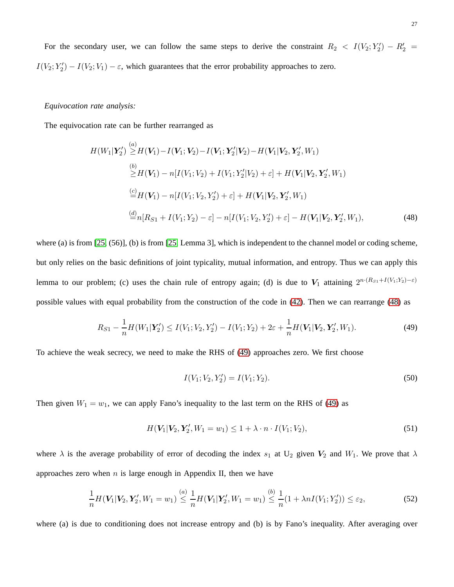For the secondary user, we can follow the same steps to derive the constraint  $R_2 < I(V_2; Y_2') - R_2' =$  $I(V_2; Y_2') - I(V_2; V_1) - \varepsilon$ , which guarantees that the error probability approaches to zero.

## *Equivocation rate analysis:*

The equivocation rate can be further rearranged as

$$
H(W_1|Y'_2) \stackrel{(a)}{\geq} H(V_1) - I(V_1; V_2) - I(V_1; Y'_2 | V_2) - H(V_1 | V_2, Y'_2, W_1)
$$
  
\n
$$
\stackrel{(b)}{\geq} H(V_1) - n[I(V_1; V_2) + I(V_1; Y'_2 | V_2) + \varepsilon] + H(V_1 | V_2, Y'_2, W_1)
$$
  
\n
$$
\stackrel{(c)}{=} H(V_1) - n[I(V_1; V_2, Y'_2) + \varepsilon] + H(V_1 | V_2, Y'_2, W_1)
$$
  
\n
$$
\stackrel{(d)}{=} n[R_{S1} + I(V_1; Y_2) - \varepsilon] - n[I(V_1; V_2, Y'_2) + \varepsilon] - H(V_1 | V_2, Y'_2, W_1),
$$
\n(48)

where (a) is from [\[25,](#page-38-14) (56)], (b) is from [\[25,](#page-38-14) Lemma 3], which is independent to the channel model or coding scheme, but only relies on the basic definitions of joint typicality, mutual information, and entropy. Thus we can apply this lemma to our problem; (c) uses the chain rule of entropy again; (d) is due to  $V_1$  attaining  $2^{n \cdot (R_{S1} + I(V_1;Y_2) - \varepsilon)}$ possible values with equal probability from the construction of the code in [\(42\)](#page-24-1). Then we can rearrange [\(48\)](#page-26-0) as

$$
R_{S1} - \frac{1}{n}H(W_1|Y'_2) \le I(V_1; V_2, Y'_2) - I(V_1; Y_2) + 2\varepsilon + \frac{1}{n}H(V_1|V_2, Y'_2, W_1).
$$
\n(49)

To achieve the weak secrecy, we need to make the RHS of [\(49\)](#page-26-1) approaches zero. We first choose

<span id="page-26-2"></span><span id="page-26-1"></span><span id="page-26-0"></span>
$$
I(V_1; V_2, Y_2') = I(V_1; Y_2). \tag{50}
$$

Then given  $W_1 = w_1$ , we can apply Fano's inequality to the last term on the RHS of [\(49\)](#page-26-1) as

$$
H(\mathbf{V}_1 | \mathbf{V}_2, \mathbf{Y}_2', W_1 = w_1) \le 1 + \lambda \cdot n \cdot I(V_1; V_2),
$$
\n(51)

where  $\lambda$  is the average probability of error of decoding the index  $s_1$  at U<sub>2</sub> given  $V_2$  and  $W_1$ . We prove that  $\lambda$ approaches zero when  $n$  is large enough in Appendix II, then we have

$$
\frac{1}{n}H(\mathbf{V}_1|\mathbf{V}_2,\mathbf{Y}_2',W_1=w_1)\stackrel{(a)}{\leq} \frac{1}{n}H(\mathbf{V}_1|\mathbf{Y}_2',W_1=w_1)\stackrel{(b)}{\leq} \frac{1}{n}(1+\lambda nI(V_1;Y_2'))\leq \varepsilon_2,
$$
\n(52)

where (a) is due to conditioning does not increase entropy and (b) is by Fano's inequality. After averaging over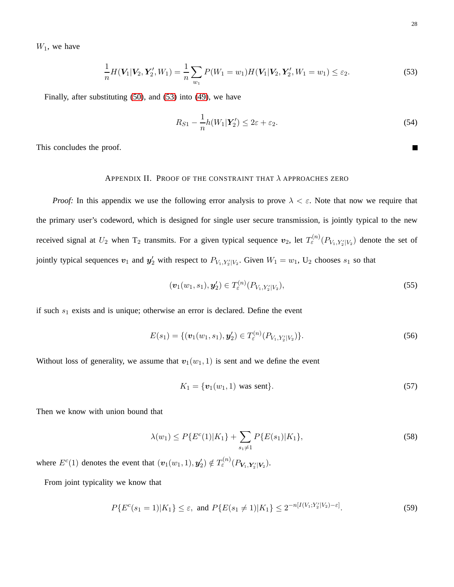$W_1$ , we have

$$
\frac{1}{n}H(\mathbf{V}_1|\mathbf{V}_2,\mathbf{Y}_2',W_1)=\frac{1}{n}\sum_{w_1}P(W_1=w_1)H(\mathbf{V}_1|\mathbf{V}_2,\mathbf{Y}_2',W_1=w_1)\leq\varepsilon_2.
$$
\n(53)

Finally, after substituting [\(50\)](#page-26-2), and [\(53\)](#page-27-0) into [\(49\)](#page-26-1), we have

$$
R_{S1} - \frac{1}{n}h(W_1|\boldsymbol{Y}_2') \le 2\varepsilon + \varepsilon_2. \tag{54}
$$

This concludes the proof.

## APPENDIX II. PROOF OF THE CONSTRAINT THAT  $\lambda$  APPROACHES ZERO

*Proof:* In this appendix we use the following error analysis to prove  $\lambda < \varepsilon$ . Note that now we require that the primary user's codeword, which is designed for single user secure transmission, is jointly typical to the new received signal at  $U_2$  when  $T_2$  transmits. For a given typical sequence  $v_2$ , let  $T^{(n)}_{\varepsilon}(P_{V_1,V_2'|V_2})$  denote the set of jointly typical sequences  $v_1$  and  $y_2'$  with respect to  $P_{V_1, Y_2'|V_2}$ . Given  $W_1 = w_1$ ,  $U_2$  chooses  $s_1$  so that

$$
(\boldsymbol{v}_1(w_1,s_1),\boldsymbol{y}_2') \in T_{\varepsilon}^{(n)}(P_{V_1,Y_2'|V_2}),
$$
\n(55)

if such  $s_1$  exists and is unique; otherwise an error is declared. Define the event

$$
E(s_1) = \{ (\boldsymbol{v}_1(w_1, s_1), \boldsymbol{y}_2') \in T_{\varepsilon}^{(n)}(P_{V_1, Y_2'|V_2}) \}.
$$
\n(56)

Without loss of generality, we assume that  $v_1(w_1, 1)$  is sent and we define the event

<span id="page-27-2"></span><span id="page-27-1"></span>
$$
K_1 = \{ \mathbf{v}_1(w_1, 1) \text{ was sent} \}. \tag{57}
$$

Then we know with union bound that

$$
\lambda(w_1) \le P\{E^c(1)|K_1\} + \sum_{s_1 \neq 1} P\{E(s_1)|K_1\},\tag{58}
$$

where  $E^c(1)$  denotes the event that  $(\boldsymbol{v}_1(w_1, 1), \boldsymbol{y}'_2) \notin T_{\varepsilon}^{(n)}(P_{\boldsymbol{V}_1, \boldsymbol{Y}'_2 | \boldsymbol{V}_2}).$ 

From joint typicality we know that

$$
P\{E^{c}(s_{1}=1)|K_{1}\} \leq \varepsilon, \text{ and } P\{E(s_{1}\neq 1)|K_{1}\} \leq 2^{-n[I(V_{1};Y'_{2}|V_{2})-\varepsilon]}.
$$
\n
$$
(59)
$$

<span id="page-27-0"></span> $\blacksquare$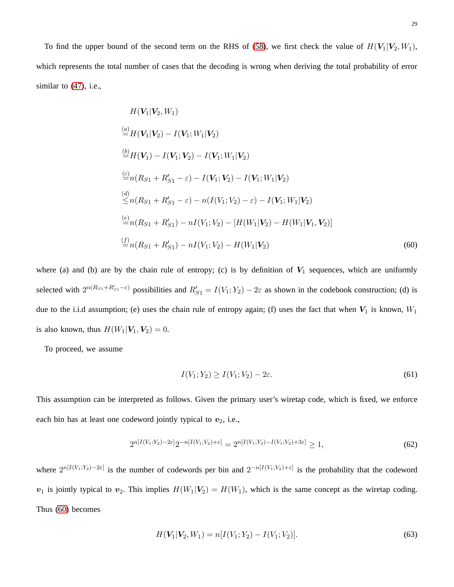To find the upper bound of the second term on the RHS of [\(58\)](#page-27-1), we first check the value of  $H(V_1|V_2, W_1)$ , which represents the total number of cases that the decoding is wrong when deriving the total probability of error similar to [\(47\)](#page-25-0), i.e.,

$$
H(\mathbf{V}_1 | \mathbf{V}_2, W_1)
$$
\n
$$
\stackrel{(a)}{=} H(\mathbf{V}_1 | \mathbf{V}_2) - I(\mathbf{V}_1; W_1 | \mathbf{V}_2)
$$
\n
$$
\stackrel{(b)}{=} H(\mathbf{V}_1) - I(\mathbf{V}_1; \mathbf{V}_2) - I(\mathbf{V}_1; W_1 | \mathbf{V}_2)
$$
\n
$$
\stackrel{(c)}{=} n(R_{S1} + R'_{S1} - \varepsilon) - I(\mathbf{V}_1; \mathbf{V}_2) - I(\mathbf{V}_1; W_1 | \mathbf{V}_2)
$$
\n
$$
\stackrel{(d)}{\leq} n(R_{S1} + R'_{S1} - \varepsilon) - n(I(\mathbf{V}_1; \mathbf{V}_2) - \varepsilon) - I(\mathbf{V}_1; W_1 | \mathbf{V}_2)
$$
\n
$$
\stackrel{(e)}{=} n(R_{S1} + R'_{S1}) - nI(\mathbf{V}_1; \mathbf{V}_2) - [H(\mathbf{W}_1 | \mathbf{V}_2) - H(\mathbf{W}_1 | \mathbf{V}_1, \mathbf{V}_2)]
$$
\n
$$
\stackrel{(f)}{=} n(R_{S1} + R'_{S1}) - nI(\mathbf{V}_1; \mathbf{V}_2) - H(\mathbf{W}_1 | \mathbf{V}_2)
$$
\n(60)

where (a) and (b) are by the chain rule of entropy; (c) is by definition of  $V_1$  sequences, which are uniformly selected with  $2^{n(R_{S1}+R'_{S1}-\varepsilon)}$  possibilities and  $R'_{S1} = I(V_1; Y_2) - 2\varepsilon$  as shown in the codebook construction; (d) is due to the i.i.d assumption; (e) uses the chain rule of entropy again; (f) uses the fact that when  $V_1$  is known,  $W_1$ is also known, thus  $H(W_1|V_1, V_2) = 0$ .

To proceed, we assume

<span id="page-28-2"></span><span id="page-28-0"></span>
$$
I(V_1; Y_2) \ge I(V_1; V_2) - 2\varepsilon. \tag{61}
$$

This assumption can be interpreted as follows. Given the primary user's wiretap code, which is fixed, we enforce each bin has at least one codeword jointly typical to  $v_2$ , i.e.,

$$
2^{n[I(V_1;Y_2)-2\varepsilon]}2^{-n[I(V_1;V_2)+\varepsilon]} = 2^{n[I(V_1;Y_2)-I(V_1;V_2)+3\varepsilon]} \ge 1,
$$
\n(62)

where  $2^{n[I(V_1;Y_2)-2\varepsilon]}$  is the number of codewords per bin and  $2^{-n[I(V_1;V_2)+\varepsilon]}$  is the probability that the codeword  $v_1$  is jointly typical to  $v_2$ . This implies  $H(W_1|V_2) = H(W_1)$ , which is the same concept as the wiretap coding. Thus [\(60\)](#page-28-0) becomes

<span id="page-28-1"></span>
$$
H(\mathbf{V}_1|\mathbf{V}_2, W_1) = n[I(V_1; Y_2) - I(V_1; V_2)].
$$
\n(63)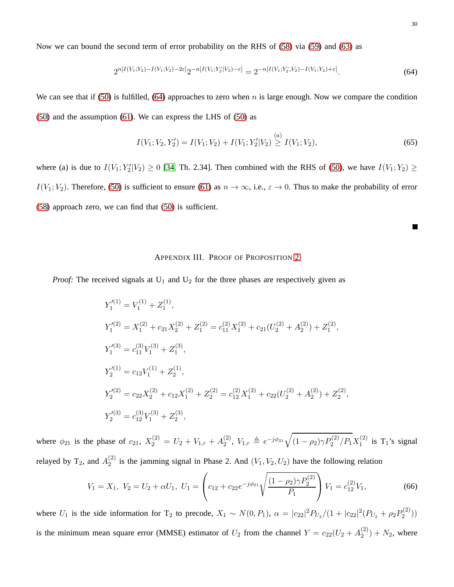Now we can bound the second term of error probability on the RHS of [\(58\)](#page-27-1) via [\(59\)](#page-27-2) and [\(63\)](#page-28-1) as

$$
2^{n[I(V_1;Y_2)-I(V_1;V_2)-2\varepsilon]}2^{-n[I(V_1;Y_2'|V_2)-\varepsilon]} = 2^{-n[I(V_1;Y_2',V_2)-I(V_1;Y_2)+\varepsilon]}.
$$
\n(64)

We can see that if [\(50\)](#page-26-2) is fulfilled, [\(64\)](#page-29-1) approaches to zero when n is large enough. Now we compare the condition [\(50\)](#page-26-2) and the assumption [\(61\)](#page-28-2). We can express the LHS of [\(50\)](#page-26-2) as

$$
I(V_1; V_2, Y_2') = I(V_1; V_2) + I(V_1; Y_2'|V_2) \stackrel{(a)}{\geq} I(V_1; V_2),\tag{65}
$$

where (a) is due to  $I(V_1; Y_2'|V_2) \ge 0$  [\[34,](#page-39-4) Th. 2.34]. Then combined with the RHS of [\(50\)](#page-26-2), we have  $I(V_1; Y_2) \ge$  $I(V_1; V_2)$ . Therefore, [\(50\)](#page-26-2) is sufficient to ensure [\(61\)](#page-28-2) as  $n \to \infty$ , i.e.,  $\varepsilon \to 0$ . Thus to make the probability of error [\(58\)](#page-27-1) approach zero, we can find that [\(50\)](#page-26-2) is sufficient.

#### APPENDIX III. PROOF OF PROPOSITION [2](#page-11-3)

<span id="page-29-0"></span>*Proof:* The received signals at  $U_1$  and  $U_2$  for the three phases are respectively given as

$$
Y_1^{(1)} = V_1^{(1)} + Z_1^{(1)},
$$
  
\n
$$
Y_1^{(2)} = X_1^{(2)} + c_{21}X_2^{(2)} + Z_1^{(2)} = c_{11}^{(2)}X_1^{(2)} + c_{21}(U_2^{(2)} + A_2^{(2)}) + Z_1^{(2)},
$$
  
\n
$$
Y_1^{(3)} = c_{11}^{(3)}V_1^{(3)} + Z_1^{(3)},
$$
  
\n
$$
Y_2^{(1)} = c_{12}V_1^{(1)} + Z_2^{(1)},
$$
  
\n
$$
Y_2^{(2)} = c_{22}X_2^{(2)} + c_{12}X_1^{(2)} + Z_2^{(2)} = c_{12}^{(2)}X_1^{(2)} + c_{22}(U_2^{(2)} + A_2^{(2)}) + Z_2^{(2)},
$$
  
\n
$$
Y_2^{(3)} = c_{12}^{(3)}V_1^{(3)} + Z_2^{(3)},
$$

where  $\phi_{21}$  is the phase of  $c_{21}$ ,  $X_2^{(2)} = U_2 + V_{1,r} + A_2^{(2)}$  $\chi_2^{(2)}$ ,  $V_{1,r} \triangleq e^{-j\phi_{21}} \sqrt{(1-\rho_2)\gamma P_2^{(2)}/P_1} X_1^{(2)}$  $\int_1^{(2)}$  is T<sub>1</sub>'s signal relayed by T<sub>2</sub>, and  $A_2^{(2)}$  $\binom{2}{2}$  is the jamming signal in Phase 2. And  $(V_1, V_2, U_2)$  have the following relation

$$
V_1 = X_1, V_2 = U_2 + \alpha U_1, U_1 = \left(c_{12} + c_{22}e^{-j\phi_{21}}\sqrt{\frac{(1-\rho_2)\gamma P_2^{(2)}}{P_1}}\right)V_1 = c_{12}^{(2)}V_1,
$$
\n(66)

where  $U_1$  is the side information for T<sub>2</sub> to precode,  $X_1 \sim N(0, P_1)$ ,  $\alpha = |c_{22}|^2 P_{U_2}/(1 + |c_{22}|^2 (P_{U_2} + \rho_2 P_2^{(2)})$  $2^{(2)}$ ) is the minimum mean square error (MMSE) estimator of  $U_2$  from the channel  $Y = c_{22}(U_2 + A_2^{(2)})$  $2^{(2)}$  +  $N_2$ , where

<span id="page-29-1"></span> $\blacksquare$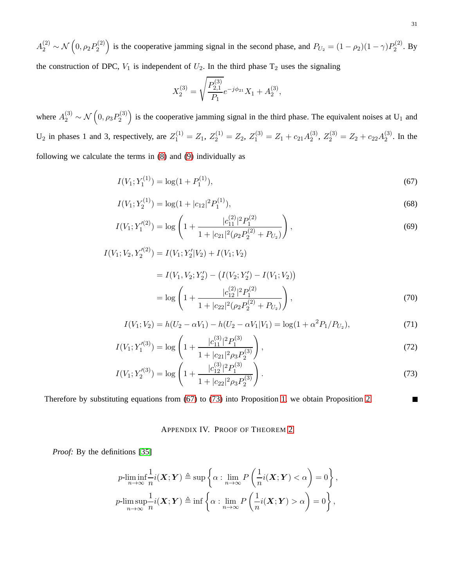$A_2^{(2)}\sim\mathcal{N}\left(0,\rho_2P_2^{(2)}\right)$  $P_2^{(2)}$  is the cooperative jamming signal in the second phase, and  $P_{U_2} = (1 - \rho_2)(1 - \gamma)P_2^{(2)}$  $2^{(2)}$ . By the construction of DPC,  $V_1$  is independent of  $U_2$ . In the third phase  $T_2$  uses the signaling

$$
X_2^{(3)} = \sqrt{\frac{P_{2,1}^{(3)}}{P_1}} e^{-j\phi_{21}} X_1 + A_2^{(3)},
$$

where  $A_2^{(3)} \sim \mathcal{N}\left(0, \rho_3 P_2^{(3)}\right)$  $\binom{2^{(3)}}{2}$  is the cooperative jamming signal in the third phase. The equivalent noises at U<sub>1</sub> and U<sub>2</sub> in phases 1 and 3, respectively, are  $Z_1^{(1)} = Z_1, Z_2^{(1)} = Z_2, Z_1^{(3)} = Z_1 + c_{21}A_2^{(3)}$  $Z_2^{(3)}$ ,  $Z_2^{(3)} = Z_2 + c_{22}A_2^{(3)}$  $2^{(5)}$ . In the following we calculate the terms in [\(8\)](#page-9-4) and [\(9\)](#page-9-4) individually as

$$
I(V_1; Y_1^{(1)}) = \log(1 + P_1^{(1)}),\tag{67}
$$

$$
I(V_1; Y_2^{(1)}) = \log(1 + |c_{12}|^2 P_1^{(1)}),\tag{68}
$$

$$
I(V_1; Y_1'^{(2)}) = \log \left( 1 + \frac{|c_{11}^{(2)}|^2 P_1^{(2)}}{1 + |c_{21}|^2 (\rho_2 P_2^{(2)} + P_{U_2})} \right),\tag{69}
$$

$$
I(V_1; V_2, Y_2'^{(2)}) = I(V_1; Y_2'|V_2) + I(V_1; V_2)
$$

$$
= I(V_1, V_2; Y_2') - (I(V_2; Y_2') - I(V_1; V_2))
$$
  
= log  $\left(1 + \frac{|c_{12}^{(2)}|^2 P_1^{(2)}}{1 + |c_{22}|^2 (\rho_2 P_2^{(2)} + P_{U_2})}\right)$ , (70)

$$
I(V_1; V_2) = h(U_2 - \alpha V_1) - h(U_2 - \alpha V_1 | V_1) = \log(1 + \alpha^2 P_1 / P_{U_2}),
$$
\n(71)

$$
I(V_1; Y_1^{(3)}) = \log \left( 1 + \frac{|c_{11}^{(3)}|^2 P_1^{(3)}}{1 + |c_{21}|^2 \rho_3 P_2^{(3)}} \right),\tag{72}
$$

$$
I(V_1; Y_2^{(3)}) = \log \left( 1 + \frac{|c_{12}^{(3)}|^2 P_1^{(3)}}{1 + |c_{22}|^2 \rho_3 P_2^{(3)}} \right).
$$
\n(73)

<span id="page-30-0"></span>Therefore by substituting equations from [\(67\)](#page-30-1) to [\(73\)](#page-30-2) into Proposition [1,](#page-9-0) we obtain Proposition [2.](#page-11-3)

# APPENDIX IV. PROOF OF THEOREM [2](#page-14-0)

*Proof:* By the definitions [\[35\]](#page-39-5)

$$
p\text{-}\underset{n\to\infty}{\liminf}\frac{1}{n}i(\mathbf{X};\mathbf{Y}) \triangleq \sup\left\{\alpha : \underset{n\to\infty}{\lim} P\left(\frac{1}{n}i(\mathbf{X};\mathbf{Y}) < \alpha\right) = 0\right\},\newline
$$
  

$$
p\text{-}\underset{n\to\infty}{\limsup}\frac{1}{n}i(\mathbf{X};\mathbf{Y}) \triangleq \inf\left\{\alpha : \underset{n\to\infty}{\lim} P\left(\frac{1}{n}i(\mathbf{X};\mathbf{Y}) > \alpha\right) = 0\right\},\newline
$$

<span id="page-30-2"></span><span id="page-30-1"></span>П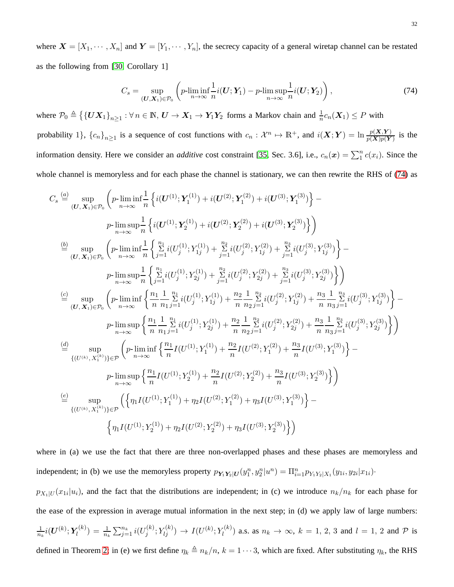where  $X = [X_1, \dots, X_n]$  and  $Y = [Y_1, \dots, Y_n]$ , the secrecy capacity of a general wiretap channel can be restated as the following from [\[30,](#page-39-0) Corollary 1]

<span id="page-31-0"></span>
$$
C_s = \sup_{(\mathbf{U}, \mathbf{X}_1) \in \mathcal{P}_0} \left( p\text{-}\liminf_{n \to \infty} \frac{1}{n} i(\mathbf{U}; \mathbf{Y}_1) - p\text{-}\limsup_{n \to \infty} \frac{1}{n} i(\mathbf{U}; \mathbf{Y}_2) \right),\tag{74}
$$

where  $\mathcal{P}_0 \triangleq \{ \{ \bm{U} \bm{X}_1 \}_{n \geq 1} : \forall n \in \mathbb{N}, \bm{U} \rightarrow \bm{X}_1 \rightarrow \bm{Y}_1 \bm{Y}_2 \}$  forms a Markov chain and  $\frac{1}{n} c_n(\bm{X}_1) \leq P$  with probability 1},  ${c_n}_{n \ge 1}$  is a sequence of cost functions with  $c_n : \mathcal{X}^n \mapsto \mathbb{R}^+$ , and  $i(\mathbf{X}; \mathbf{Y}) = \ln \frac{p(\mathbf{X}, \mathbf{Y})}{p(\mathbf{X})p(\mathbf{Y})}$  is the information density. Here we consider an *additive* cost constraint [\[35,](#page-39-5) Sec. 3.6], i.e.,  $c_n(x) = \sum_1^n c(x_i)$ . Since the whole channel is memoryless and for each phase the channel is stationary, we can then rewrite the RHS of [\(74\)](#page-31-0) as

$$
C_{s} \stackrel{(a)}{=} \sup_{(U,X_{1}) \in \mathcal{P}_{0}} \left( p \cdot \liminf_{n \to \infty} \frac{1}{n} \left\{ i(U^{(1)}; Y_{1}^{(1)}) + i(U^{(2)}; Y_{1}^{(2)}) + i(U^{(3)}; Y_{1}^{(3)}) \right\} - p \cdot \limsup_{n \to \infty} \frac{1}{n} \left\{ i(U^{(1)}; Y_{2}^{(1)}) + i(U^{(2)}; Y_{2}^{(2)}) + i(U^{(3)}; Y_{2}^{(3)}) \right\} \right)
$$
\n
$$
\stackrel{(b)}{=} \sup_{(U,X_{1}) \in \mathcal{P}_{0}} \left( p \cdot \liminf_{n \to \infty} \frac{1}{n} \left\{ \sum_{j=1}^{n} i(U_{j}^{(1)}; Y_{1j}^{(1)}) + \sum_{j=1}^{n} i(U_{j}^{(2)}; Y_{1j}^{(2)}) + \sum_{j=1}^{n} i(U_{j}^{(3)}; Y_{1j}^{(3)}) \right\} - p \cdot \limsup_{n \to \infty} \frac{1}{n} \left\{ \sum_{j=1}^{n} i(U_{j}^{(1)}; Y_{2j}^{(1)}) + \sum_{j=1}^{n} i(U_{j}^{(2)}; Y_{2j}^{(2)}) + \sum_{j=1}^{n} i(U_{j}^{(3)}; Y_{2j}^{(3)}) \right\} \right)
$$
\n
$$
\stackrel{(c)}{=} \sup_{(U,X_{1}) \in \mathcal{P}_{0}} \left( p \cdot \liminf_{n \to \infty} \left\{ \frac{n_{1}}{n} \frac{1}{n_{1}} \sum_{j=1}^{n} i(U_{j}^{(1)}; Y_{1j}^{(1)}) + \frac{n_{2}}{n} \frac{1}{n_{2}} \sum_{j=1}^{n} i(U_{j}^{(2)}; Y_{1j}^{(2)}) + \frac{n_{3}}{n} \frac{1}{n_{3}} \sum_{j=1}^{n} i(U_{j}^{(3)}; Y_{1j}^{(3)}) \right\} - p \cdot \limsup_{n \to \infty} \left\{ \frac{n_{1}}{n} \frac{1}{n_{1}} \sum_{j=1}^{n} i(U_{j}^{(1)}; Y_{2j}^{(1)}) + \frac{n_{2}}{n} \frac{1}{n_{2}} \sum_{
$$

where in (a) we use the fact that there are three non-overlapped phases and these phases are memoryless and independent; in (b) we use the memoryless property  $p_{Y_1Y_2|U}(y_1^n, y_2^n|u^n) = \prod_{i=1}^n p_{Y_1Y_2|X_1}(y_{1i}, y_{2i}|x_{1i})$ .

 $p_{X_1|U}(x_{1i}|u_i)$ , and the fact that the distributions are independent; in (c) we introduce  $n_k/n_k$  for each phase for the ease of the expression in average mutual information in the next step; in (d) we apply law of large numbers:  $\frac{1}{n_k}i(\boldsymbol{U}^{(k)};\boldsymbol{Y_l}^{(k)}$  $\sigma_l^{(k)}) \, = \, \frac{1}{n_k} \sum_{j=1}^{n_k} i(U_j^{(k)})$  $J_j^{(k)}; Y_{lj}^{(k)}) \rightarrow I(U^{(k)}; Y_l^{(k)})$  $\ell_l^{(k)}$ ) a.s. as  $n_k \to \infty$ ,  $k = 1, 2, 3$  and  $l = 1, 2$  and  $P$  is defined in Theorem [2;](#page-14-0) in (e) we first define  $\eta_k \triangleq n_k/n$ ,  $k = 1 \cdots 3$ , which are fixed. After substituting  $\eta_k$ , the RHS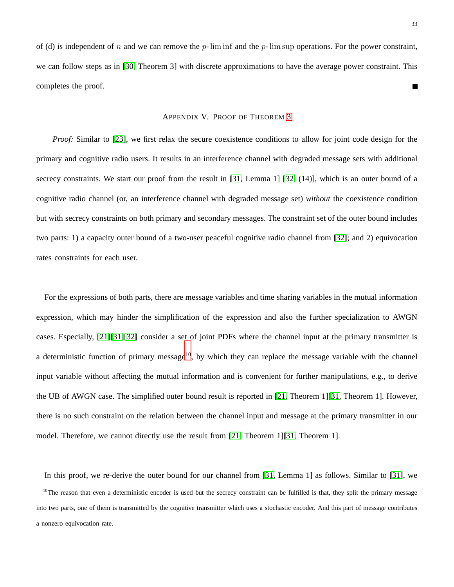<span id="page-32-0"></span>of (d) is independent of n and we can remove the  $p$ -lim inf and the  $p$ -lim sup operations. For the power constraint, we can follow steps as in [\[30,](#page-39-0) Theorem 3] with discrete approximations to have the average power constraint. This completes the proof.  $\blacksquare$ 

#### APPENDIX V. PROOF OF THEOREM [3](#page-15-2)

*Proof:* Similar to [\[23\]](#page-38-12), we first relax the secure coexistence conditions to allow for joint code design for the primary and cognitive radio users. It results in an interference channel with degraded message sets with additional secrecy constraints. We start our proof from the result in [\[31,](#page-39-1) Lemma 1] [\[32,](#page-39-2) (14)], which is an outer bound of a cognitive radio channel (or, an interference channel with degraded message set) *without* the coexistence condition but with secrecy constraints on both primary and secondary messages. The constraint set of the outer bound includes two parts: 1) a capacity outer bound of a two-user peaceful cognitive radio channel from [\[32\]](#page-39-2); and 2) equivocation rates constraints for each user.

For the expressions of both parts, there are message variables and time sharing variables in the mutual information expression, which may hinder the simplification of the expression and also the further specialization to AWGN cases. Especially, [\[21\]](#page-38-10)[\[31\]](#page-39-1)[\[32\]](#page-39-2) consider a set of joint PDFs where the channel input at the primary transmitter is a deterministic function of primary message<sup>[10](#page-32-1)</sup>, by which they can replace the message variable with the channel input variable without affecting the mutual information and is convenient for further manipulations, e.g., to derive the UB of AWGN case. The simplified outer bound result is reported in [\[21,](#page-38-10) Theorem 1][\[31,](#page-39-1) Theorem 1]. However, there is no such constraint on the relation between the channel input and message at the primary transmitter in our model. Therefore, we cannot directly use the result from [\[21,](#page-38-10) Theorem 1][\[31,](#page-39-1) Theorem 1].

In this proof, we re-derive the outer bound for our channel from [\[31,](#page-39-1) Lemma 1] as follows. Similar to [\[31\]](#page-39-1), we

<span id="page-32-1"></span> $10$ The reason that even a deterministic encoder is used but the secrecy constraint can be fulfilled is that, they split the primary message into two parts, one of them is transmitted by the cognitive transmitter which uses a stochastic encoder. And this part of message contributes a nonzero equivocation rate.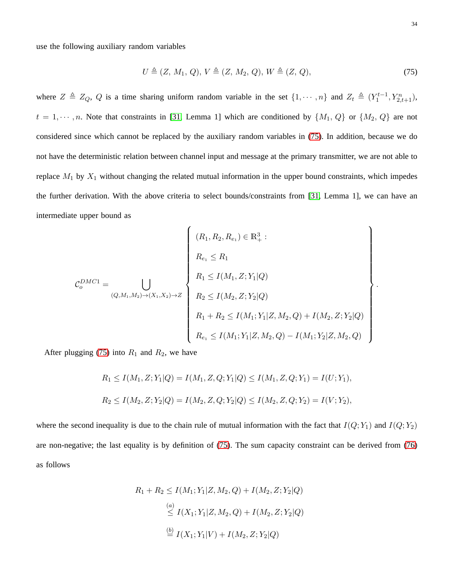use the following auxiliary random variables

$$
U \triangleq (Z, M_1, Q), V \triangleq (Z, M_2, Q), W \triangleq (Z, Q), \tag{75}
$$

where  $Z \triangleq Z_Q$ , Q is a time sharing uniform random variable in the set  $\{1, \dots, n\}$  and  $Z_t \triangleq (Y_1^{t-1}, Y_{2,t+1}^n)$ ,  $t = 1, \dots, n$ . Note that constraints in [\[31,](#page-39-1) Lemma 1] which are conditioned by  $\{M_1, Q\}$  or  $\{M_2, Q\}$  are not considered since which cannot be replaced by the auxiliary random variables in [\(75\)](#page-33-0). In addition, because we do not have the deterministic relation between channel input and message at the primary transmitter, we are not able to replace  $M_1$  by  $X_1$  without changing the related mutual information in the upper bound constraints, which impedes the further derivation. With the above criteria to select bounds/constraints from [\[31,](#page-39-1) Lemma 1], we can have an intermediate upper bound as

$$
\mathcal{C}_o^{DMC1} = \bigcup_{(Q,M_1,M_2) \to (X_1,X_2) \to Z} \left\{ \begin{array}{l} (R_1, R_2, R_{e_1}) \in \mathbb{R}_+^3: \\ \\ R_1 \le I(M_1, Z; Y_1 | Q) \\ \\ R_2 \le I(M_2, Z; Y_2 | Q) \\ \\ R_1 + R_2 \le I(M_1; Y_1 | Z, M_2, Q) + I(M_2, Z; Y_2 | Q) \\ \\ R_{e_1} \le I(M_1; Y_1 | Z, M_2, Q) - I(M_1; Y_2 | Z, M_2, Q) \end{array} \right\}
$$

After plugging [\(75\)](#page-33-0) into  $R_1$  and  $R_2$ , we have

$$
R_1 \le I(M_1, Z; Y_1|Q) = I(M_1, Z, Q; Y_1|Q) \le I(M_1, Z, Q; Y_1) = I(U; Y_1),
$$
  

$$
R_2 \le I(M_2, Z; Y_2|Q) = I(M_2, Z, Q; Y_2|Q) \le I(M_2, Z, Q; Y_2) = I(V; Y_2),
$$

where the second inequality is due to the chain rule of mutual information with the fact that  $I(Q; Y_1)$  and  $I(Q; Y_2)$ are non-negative; the last equality is by definition of [\(75\)](#page-33-0). The sum capacity constraint can be derived from [\(76\)](#page-34-1) as follows

$$
R_1 + R_2 \le I(M_1; Y_1 | Z, M_2, Q) + I(M_2, Z; Y_2 | Q)
$$
  
\n
$$
\stackrel{(a)}{\le} I(X_1; Y_1 | Z, M_2, Q) + I(M_2, Z; Y_2 | Q)
$$
  
\n
$$
\stackrel{(b)}{=} I(X_1; Y_1 | V) + I(M_2, Z; Y_2 | Q)
$$

<span id="page-33-0"></span>.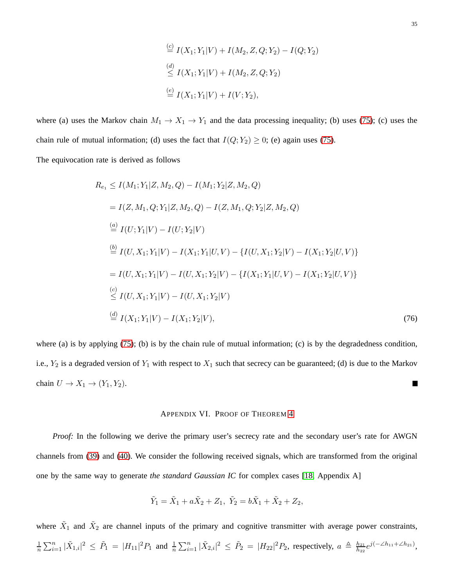$$
\stackrel{(c)}{=} I(X_1; Y_1|V) + I(M_2, Z, Q; Y_2) - I(Q; Y_2)
$$
\n
$$
\stackrel{(d)}{\leq} I(X_1; Y_1|V) + I(M_2, Z, Q; Y_2)
$$
\n
$$
\stackrel{(e)}{=} I(X_1; Y_1|V) + I(V; Y_2),
$$

where (a) uses the Markov chain  $M_1 \rightarrow X_1 \rightarrow Y_1$  and the data processing inequality; (b) uses [\(75\)](#page-33-0); (c) uses the chain rule of mutual information; (d) uses the fact that  $I(Q; Y_2) \geq 0$ ; (e) again uses [\(75\)](#page-33-0).

The equivocation rate is derived as follows

$$
R_{e_1} \leq I(M_1; Y_1 | Z, M_2, Q) - I(M_1; Y_2 | Z, M_2, Q)
$$
  
=  $I(Z, M_1, Q; Y_1 | Z, M_2, Q) - I(Z, M_1, Q; Y_2 | Z, M_2, Q)$   

$$
\stackrel{(a)}{=} I(U; Y_1 | V) - I(U; Y_2 | V)
$$
  

$$
\stackrel{(b)}{=} I(U, X_1; Y_1 | V) - I(X_1; Y_1 | U, V) - \{I(U, X_1; Y_2 | V) - I(X_1; Y_2 | U, V)\}
$$
  
=  $I(U, X_1; Y_1 | V) - I(U, X_1; Y_2 | V) - \{I(X_1; Y_1 | U, V) - I(X_1; Y_2 | U, V)\}$   

$$
\stackrel{(c)}{\leq} I(U, X_1; Y_1 | V) - I(U, X_1; Y_2 | V)
$$
  

$$
\stackrel{(d)}{=} I(X_1; Y_1 | V) - I(X_1; Y_2 | V),
$$
 (76)

<span id="page-34-0"></span>where (a) is by applying [\(75\)](#page-33-0); (b) is by the chain rule of mutual information; (c) is by the degradedness condition, i.e.,  $Y_2$  is a degraded version of  $Y_1$  with respect to  $X_1$  such that secrecy can be guaranteed; (d) is due to the Markov chain  $U \to X_1 \to (Y_1, Y_2)$ .  $\blacksquare$ 

#### <span id="page-34-1"></span>APPENDIX VI. PROOF OF THEOREM [4](#page-16-3)

*Proof:* In the following we derive the primary user's secrecy rate and the secondary user's rate for AWGN channels from [\(39\)](#page-16-2) and [\(40\)](#page-16-4). We consider the following received signals, which are transformed from the original one by the same way to generate *the standard Gaussian IC* for complex cases [\[18,](#page-38-7) Appendix A]

$$
\tilde{Y}_1 = \tilde{X}_1 + a\tilde{X}_2 + Z_1, \ \tilde{Y}_2 = b\tilde{X}_1 + \tilde{X}_2 + Z_2,
$$

where  $\tilde{X}_1$  and  $\tilde{X}_2$  are channel inputs of the primary and cognitive transmitter with average power constraints, 1  $\frac{1}{n}\sum_{i=1}^{n}|\tilde{X}_{1,i}|^2 \leq \tilde{P}_1 = |H_{11}|^2 P_1$  and  $\frac{1}{n}\sum_{i=1}^{n}|\tilde{X}_{2,i}|^2 \leq \tilde{P}_2 = |H_{22}|^2 P_2$ , respectively,  $a \triangleq \frac{h_{21}}{h_{22}}$  $\frac{h_{21}}{h_{22}}e^{j(-\angle h_{11}+\angle h_{21})},$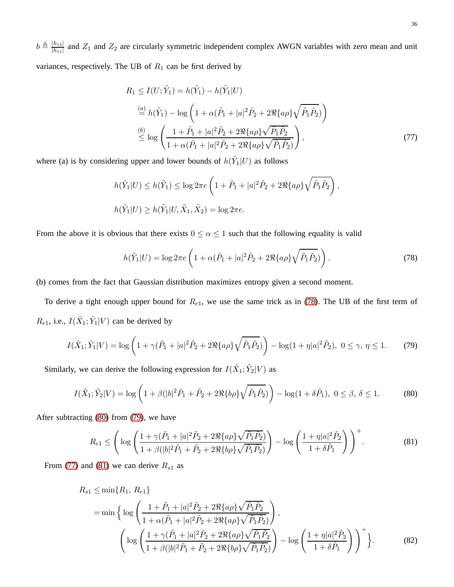$b \triangleq \frac{|h_{12}|}{|h_{11}|}$  $\frac{|h_{12}|}{|h_{11}|}$  and  $Z_1$  and  $Z_2$  are circularly symmetric independent complex AWGN variables with zero mean and unit variances, respectively. The UB of  $R_1$  can be first derived by

<span id="page-35-3"></span>
$$
R_1 \le I(U; \tilde{Y}_1) = h(\tilde{Y}_1) - h(\tilde{Y}_1|U)
$$
  
\n
$$
\stackrel{(a)}{=} h(\tilde{Y}_1) - \log \left( 1 + \alpha(\tilde{P}_1 + |a|^2 \tilde{P}_2 + 2\Re{\{a\rho\}} \sqrt{\tilde{P}_1 \tilde{P}_2}) \right)
$$
  
\n
$$
\stackrel{(b)}{\leq} \log \left( \frac{1 + \tilde{P}_1 + |a|^2 \tilde{P}_2 + 2\Re{\{a\rho\}} \sqrt{\tilde{P}_1 \tilde{P}_2}}{1 + \alpha(\tilde{P}_1 + |a|^2 \tilde{P}_2 + 2\Re{\{a\rho\}} \sqrt{\tilde{P}_1 \tilde{P}_2})} \right),
$$
\n(77)

where (a) is by considering upper and lower bounds of  $h(Y_1|U)$  as follows

$$
h(\tilde{Y}_1|U) \le h(\tilde{Y}_1) \le \log 2\pi e \left(1 + \tilde{P}_1 + |a|^2 \tilde{P}_2 + 2\Re\{a\rho\}\sqrt{\tilde{P}_1 \tilde{P}_2}\right),
$$
  

$$
h(\tilde{Y}_1|U) \ge h(\tilde{Y}_1|U, \tilde{X}_1, \tilde{X}_2) = \log 2\pi e.
$$

From the above it is obvious that there exists  $0 \le \alpha \le 1$  such that the following equality is valid

<span id="page-35-2"></span><span id="page-35-1"></span><span id="page-35-0"></span>
$$
h(\tilde{Y}_1|U) = \log 2\pi e \left( 1 + \alpha(\tilde{P}_1 + |a|^2 \tilde{P}_2 + 2\Re\{a\rho\}\sqrt{\tilde{P}_1 \tilde{P}_2}) \right). \tag{78}
$$

(b) comes from the fact that Gaussian distribution maximizes entropy given a second moment.

To derive a tight enough upper bound for  $R_{e1}$ , we use the same trick as in [\(78\)](#page-35-0). The UB of the first term of  $R_{e1}$ , i.e.,  $I(\tilde{X}_1; \tilde{Y}_1 | V)$  can be derived by

$$
I(\tilde{X}_1; \tilde{Y}_1 | V) = \log \left( 1 + \gamma (\tilde{P}_1 + |a|^2 \tilde{P}_2 + 2 \Re\{a\rho\} \sqrt{\tilde{P}_1 \tilde{P}_2}) \right) - \log(1 + \eta |a|^2 \tilde{P}_2), \ 0 \le \gamma, \ \eta \le 1. \tag{79}
$$

Similarly, we can derive the following expression for  $I(\tilde{X}_1; \tilde{Y}_2 | V)$  as

$$
I(\tilde{X}_1; \tilde{Y}_2 | V) = \log \left( 1 + \beta (|b|^2 \tilde{P}_1 + \tilde{P}_2 + 2 \Re\{b \rho\} \sqrt{\tilde{P}_1 \tilde{P}_2}) \right) - \log(1 + \delta \tilde{P}_1), \ 0 \le \beta, \ \delta \le 1. \tag{80}
$$

After subtracting [\(80\)](#page-35-1) from [\(79\)](#page-35-2), we have

<span id="page-35-4"></span>
$$
R_{e1} \leq \left(\log\left(\frac{1+\gamma(\tilde{P}_1+|a|^2\tilde{P}_2+2\Re\{a\rho\}\sqrt{\tilde{P}_1\tilde{P}_2})}{1+\beta(|b|^2\tilde{P}_1+\tilde{P}_2+2\Re\{b\rho\}\sqrt{\tilde{P}_1\tilde{P}_2})}\right) - \log\left(\frac{1+\eta|a|^2\tilde{P}_2}{1+\delta\tilde{P}_1}\right)\right)^{+}.
$$
(81)

From [\(77\)](#page-35-3) and [\(81\)](#page-35-4) we can derive  $R_{s1}$  as

$$
R_{s1} \le \min\{R_1, R_{e1}\}\
$$
  
= min  $\Big\{\log\left(\frac{1+\tilde{P}_1+|a|^2\tilde{P}_2+2\Re\{a\rho\}\sqrt{\tilde{P}_1\tilde{P}_2}}{1+\alpha(\tilde{P}_1+|a|^2\tilde{P}_2+2\Re\{a\rho\}\sqrt{\tilde{P}_1\tilde{P}_2}}\right), \Big\}$   

$$
\left(\log\left(\frac{1+\gamma(\tilde{P}_1+|a|^2\tilde{P}_2+2\Re\{a\rho\}\sqrt{\tilde{P}_1\tilde{P}_2}}{1+\beta(|b|^2\tilde{P}_1+\tilde{P}_2+2\Re\{b\rho\}\sqrt{\tilde{P}_1\tilde{P}_2}}\right)-\log\left(\frac{1+\eta|a|^2\tilde{P}_2}{1+\delta\tilde{P}_1}\right)\right)^+\Big\}.
$$
(82)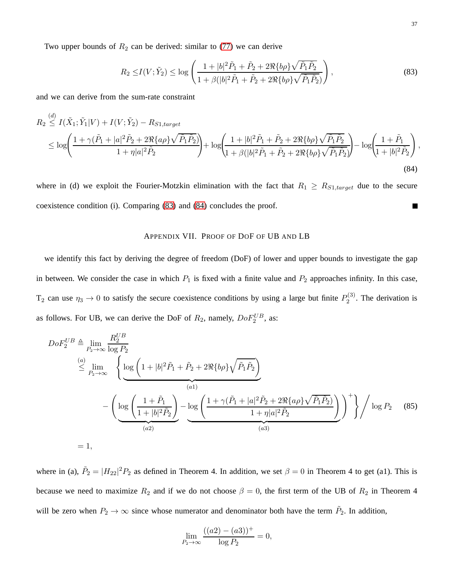Two upper bounds of  $R_2$  can be derived: similar to [\(77\)](#page-35-3) we can derive

<span id="page-36-1"></span>
$$
R_2 \le I(V; \tilde{Y}_2) \le \log \left( \frac{1+|b|^2 \tilde{P}_1 + \tilde{P}_2 + 2\Re\{b\rho\} \sqrt{\tilde{P}_1 \tilde{P}_2}}{1 + \beta(|b|^2 \tilde{P}_1 + \tilde{P}_2 + 2\Re\{b\rho\} \sqrt{\tilde{P}_1 \tilde{P}_2})} \right),
$$
\n(83)

and we can derive from the sum-rate constraint

$$
R_2 \stackrel{(d)}{\leq} I(\tilde{X}_1; \tilde{Y}_1 | V) + I(V; \tilde{Y}_2) - R_{S1, target} \\
\leq \log \left( \frac{1 + \gamma(\tilde{P}_1 + |a|^2 \tilde{P}_2 + 2\Re\{a\rho\} \sqrt{\tilde{P}_1 \tilde{P}_2})}{1 + \eta |a|^2 \tilde{P}_2} \right) + \log \left( \frac{1 + |b|^2 \tilde{P}_1 + \tilde{P}_2 + 2\Re\{b\rho\} \sqrt{\tilde{P}_1 \tilde{P}_2}}{1 + \beta (|b|^2 \tilde{P}_1 + \tilde{P}_2 + 2\Re\{b\rho\} \sqrt{\tilde{P}_1 \tilde{P}_2}} \right) - \log \left( \frac{1 + \tilde{P}_1}{1 + |b|^2 \tilde{P}_2} \right),
$$
\n(84)

<span id="page-36-0"></span>where in (d) we exploit the Fourier-Motzkin elimination with the fact that  $R_1 \geq R_{S1, target}$  due to the secure coexistence condition (i). Comparing [\(83\)](#page-36-1) and [\(84\)](#page-36-2) concludes the proof.  $\blacksquare$ 

## <span id="page-36-2"></span>APPENDIX VII. PROOF OF DOF OF UB AND LB

we identify this fact by deriving the degree of freedom (DoF) of lower and upper bounds to investigate the gap in between. We consider the case in which  $P_1$  is fixed with a finite value and  $P_2$  approaches infinity. In this case, T<sub>2</sub> can use  $\eta_3 \to 0$  to satisfy the secure coexistence conditions by using a large but finite  $P_2^{(3)}$  $2^{(3)}$ . The derivation is as follows. For UB, we can derive the DoF of  $R_2$ , namely,  $DoF_2^{UB}$ , as:

$$
DoF_2^{UB} \triangleq \lim_{P_2 \to \infty} \frac{R_2^{UB}}{\log P_2}
$$
\n
$$
\leq \lim_{P_2 \to \infty} \left\{ \underbrace{\log \left( 1 + |b|^2 \tilde{P}_1 + \tilde{P}_2 + 2 \Re \{ b \rho \} \sqrt{\tilde{P}_1 \tilde{P}_2} \right)}_{(a1)} - \left( \underbrace{\log \left( \frac{1 + \tilde{P}_1}{1 + |b|^2 \tilde{P}_2} \right)}_{(a2)} - \underbrace{\log \left( \frac{1 + \gamma (\tilde{P}_1 + |a|^2 \tilde{P}_2 + 2 \Re \{ a \rho \} \sqrt{\tilde{P}_1 \tilde{P}_2})}{1 + \eta |a|^2 \tilde{P}_2} \right)}_{(a3)} \right)^{+} \right\} / \log P_2 \quad (85)
$$
\n
$$
= 1,
$$

where in (a),  $\tilde{P}_2 = |H_{22}|^2 P_2$  as defined in Theorem 4. In addition, we set  $\beta = 0$  in Theorem 4 to get (a1). This is because we need to maximize  $R_2$  and if we do not choose  $\beta = 0$ , the first term of the UB of  $R_2$  in Theorem 4 will be zero when  $P_2 \to \infty$  since whose numerator and denominator both have the term  $\tilde{P}_2$ . In addition,

$$
\lim_{P_2 \to \infty} \frac{((a2) - (a3))^+}{\log P_2} = 0,
$$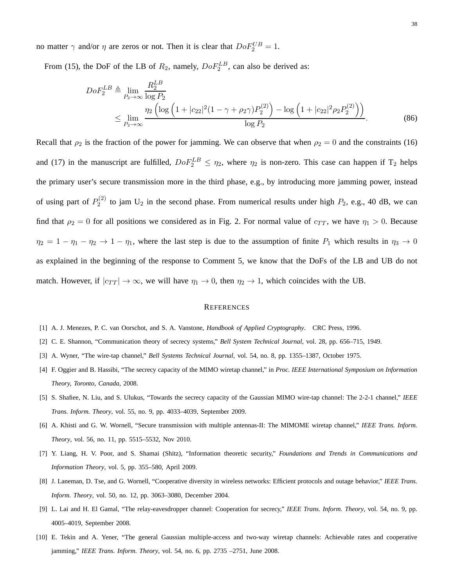no matter  $\gamma$  and/or  $\eta$  are zeros or not. Then it is clear that  $DoF_2^{UB} = 1$ .

From (15), the DoF of the LB of  $R_2$ , namely,  $DoF_2^{LB}$ , can also be derived as:

$$
DoF_2^{LB} \triangleq \lim_{P_2 \to \infty} \frac{R_2^{LB}}{\log P_2}
$$
  
 
$$
\leq \lim_{P_2 \to \infty} \frac{\eta_2 \left( \log \left( 1 + |c_{22}|^2 (1 - \gamma + \rho_2 \gamma) P_2^{(2)} \right) - \log \left( 1 + |c_{22}|^2 \rho_2 P_2^{(2)} \right) \right)}{\log P_2}.
$$
 (86)

Recall that  $\rho_2$  is the fraction of the power for jamming. We can observe that when  $\rho_2 = 0$  and the constraints (16) and (17) in the manuscript are fulfilled,  $DoF_2^{LB} \leq \eta_2$ , where  $\eta_2$  is non-zero. This case can happen if T<sub>2</sub> helps the primary user's secure transmission more in the third phase, e.g., by introducing more jamming power, instead of using part of  $P_2^{(2)}$  $2^{(2)}$  to jam U<sub>2</sub> in the second phase. From numerical results under high  $P_2$ , e.g., 40 dB, we can find that  $\rho_2 = 0$  for all positions we considered as in Fig. 2. For normal value of  $c_{TT}$ , we have  $\eta_1 > 0$ . Because  $\eta_2 = 1 - \eta_1 - \eta_2 \to 1 - \eta_1$ , where the last step is due to the assumption of finite  $P_1$  which results in  $\eta_3 \to 0$ as explained in the beginning of the response to Comment 5, we know that the DoFs of the LB and UB do not match. However, if  $|c_{TT}| \to \infty$ , we will have  $\eta_1 \to 0$ , then  $\eta_2 \to 1$ , which coincides with the UB.

#### **REFERENCES**

- <span id="page-37-1"></span><span id="page-37-0"></span>[1] A. J. Menezes, P. C. van Oorschot, and S. A. Vanstone, *Handbook of Applied Cryptography*. CRC Press, 1996.
- <span id="page-37-2"></span>[2] C. E. Shannon, "Communication theory of secrecy systems," *Bell System Technical Journal*, vol. 28, pp. 656–715, 1949.
- <span id="page-37-3"></span>[3] A. Wyner, "The wire-tap channel," *Bell Systems Technical Journal*, vol. 54, no. 8, pp. 1355–1387, October 1975.
- <span id="page-37-4"></span>[4] F. Oggier and B. Hassibi, "The secrecy capacity of the MIMO wiretap channel," in *Proc. IEEE International Symposium on Information Theory, Toronto, Canada*, 2008.
- <span id="page-37-5"></span>[5] S. Shafiee, N. Liu, and S. Ulukus, "Towards the secrecy capacity of the Gaussian MIMO wire-tap channel: The 2-2-1 channel," *IEEE Trans. Inform. Theory*, vol. 55, no. 9, pp. 4033–4039, September 2009.
- <span id="page-37-6"></span>[6] A. Khisti and G. W. Wornell, "Secure transmission with multiple antennas-II: The MIMOME wiretap channel," *IEEE Trans. Inform. Theory*, vol. 56, no. 11, pp. 5515–5532, Nov 2010.
- <span id="page-37-7"></span>[7] Y. Liang, H. V. Poor, and S. Shamai (Shitz), "Information theoretic security," *Foundations and Trends in Communications and Information Theory*, vol. 5, pp. 355–580, April 2009.
- <span id="page-37-8"></span>[8] J. Laneman, D. Tse, and G. Wornell, "Cooperative diversity in wireless networks: Efficient protocols and outage behavior," *IEEE Trans. Inform. Theory*, vol. 50, no. 12, pp. 3063–3080, December 2004.
- <span id="page-37-9"></span>[9] L. Lai and H. El Gamal, "The relay-eavesdropper channel: Cooperation for secrecy," *IEEE Trans. Inform. Theory*, vol. 54, no. 9, pp. 4005–4019, September 2008.
- [10] E. Tekin and A. Yener, "The general Gaussian multiple-access and two-way wiretap channels: Achievable rates and cooperative jamming," *IEEE Trans. Inform. Theory*, vol. 54, no. 6, pp. 2735 –2751, June 2008.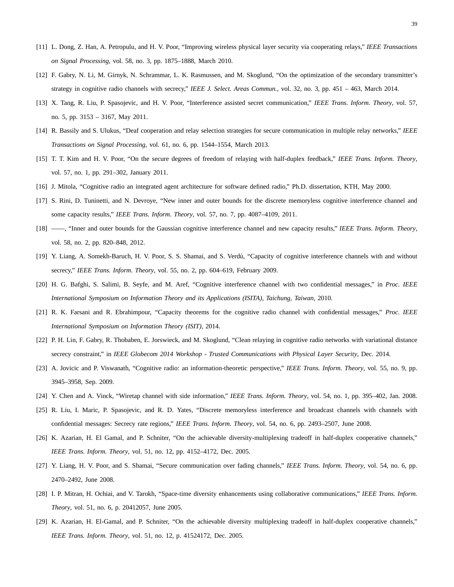- <span id="page-38-1"></span><span id="page-38-0"></span>[11] L. Dong, Z. Han, A. Petropulu, and H. V. Poor, "Improving wireless physical layer security via cooperating relays," *IEEE Transactions on Signal Processing*, vol. 58, no. 3, pp. 1875–1888, March 2010.
- <span id="page-38-2"></span>[12] F. Gabry, N. Li, M. Girnyk, N. Schrammar, L. K. Rasmussen, and M. Skoglund, "On the optimization of the secondary transmitter's strategy in cognitive radio channels with secrecy," *IEEE J. Select. Areas Commun.*, vol. 32, no. 3, pp. 451 – 463, March 2014.
- <span id="page-38-3"></span>[13] X. Tang, R. Liu, P. Spasojevic, and H. V. Poor, "Interference assisted secret communication," *IEEE Trans. Inform. Theory*, vol. 57, no. 5, pp. 3153 – 3167, May 2011.
- <span id="page-38-4"></span>[14] R. Bassily and S. Ulukus, "Deaf cooperation and relay selection strategies for secure communication in multiple relay networks," *IEEE Transactions on Signal Processing*, vol. 61, no. 6, pp. 1544–1554, March 2013.
- <span id="page-38-5"></span>[15] T. T. Kim and H. V. Poor, "On the secure degrees of freedom of relaying with half-duplex feedback," *IEEE Trans. Inform. Theory*, vol. 57, no. 1, pp. 291–302, January 2011.
- <span id="page-38-6"></span>[16] J. Mitola, "Cognitive radio an integrated agent architecture for software defined radio," Ph.D. dissertation, KTH, May 2000.
- <span id="page-38-7"></span>[17] S. Rini, D. Tuninetti, and N. Devroye, "New inner and outer bounds for the discrete memoryless cognitive interference channel and some capacity results," *IEEE Trans. Inform. Theory*, vol. 57, no. 7, pp. 4087–4109, 2011.
- <span id="page-38-8"></span>[18] ——, "Inner and outer bounds for the Gaussian cognitive interference channel and new capacity results," *IEEE Trans. Inform. Theory*, vol. 58, no. 2, pp. 820–848, 2012.
- <span id="page-38-9"></span>[19] Y. Liang, A. Somekh-Baruch, H. V. Poor, S. S. Shamai, and S. Verdú, "Capacity of cognitive interference channels with and without secrecy," *IEEE Trans. Inform. Theory*, vol. 55, no. 2, pp. 604–619, February 2009.
- <span id="page-38-10"></span>[20] H. G. Bafghi, S. Salimi, B. Seyfe, and M. Aref, "Cognitive interference channel with two confidential messages," in *Proc. IEEE International Symposium on Information Theory and its Applications (ISITA), Taichung, Taiwan*, 2010.
- <span id="page-38-11"></span>[21] R. K. Farsani and R. Ebrahimpour, "Capacity theorems for the cognitive radio channel with confidential messages," *Proc. IEEE International Symposium on Information Theory (ISIT)*, 2014.
- <span id="page-38-12"></span>[22] P. H. Lin, F. Gabry, R. Thobaben, E. Jorswieck, and M. Skoglund, "Clean relaying in cognitive radio networks with variational distance secrecy constraint," in *IEEE Globecom 2014 Workshop - Trusted Communications with Physical Layer Security*, Dec. 2014.
- <span id="page-38-13"></span>[23] A. Jovicic and P. Viswanath, "Cognitive radio: an information-theoretic perspective," *IEEE Trans. Inform. Theory*, vol. 55, no. 9, pp. 3945–3958, Sep. 2009.
- <span id="page-38-14"></span>[24] Y. Chen and A. Vinck, "Wiretap channel with side information," *IEEE Trans. Inform. Theory*, vol. 54, no. 1, pp. 395–402, Jan. 2008.
- <span id="page-38-15"></span>[25] R. Liu, I. Maric, P. Spasojevic, and R. D. Yates, "Discrete memoryless interference and broadcast channels with channels with confidential messages: Secrecy rate regions," *IEEE Trans. Inform. Theory*, vol. 54, no. 6, pp. 2493–2507, June 2008.
- <span id="page-38-16"></span>[26] K. Azarian, H. El Gamal, and P. Schniter, "On the achievable diversity-multiplexing tradeoff in half-duplex cooperative channels," *IEEE Trans. Inform. Theory*, vol. 51, no. 12, pp. 4152–4172, Dec. 2005.
- <span id="page-38-17"></span>[27] Y. Liang, H. V. Poor, and S. Shamai, "Secure communication over fading channels," *IEEE Trans. Inform. Theory*, vol. 54, no. 6, pp. 2470–2492, June 2008.
- <span id="page-38-18"></span>[28] I. P. Mitran, H. Ochiai, and V. Tarokh, "Space-time diversity enhancements using collaborative communications," *IEEE Trans. Inform. Theory*, vol. 51, no. 6, p. 20412057, June 2005.
- [29] K. Azarian, H. El-Gamal, and P. Schniter, "On the achievable diversity multiplexing tradeoff in half-duplex cooperative channels," *IEEE Trans. Inform. Theory*, vol. 51, no. 12, p. 41524172, Dec. 2005.